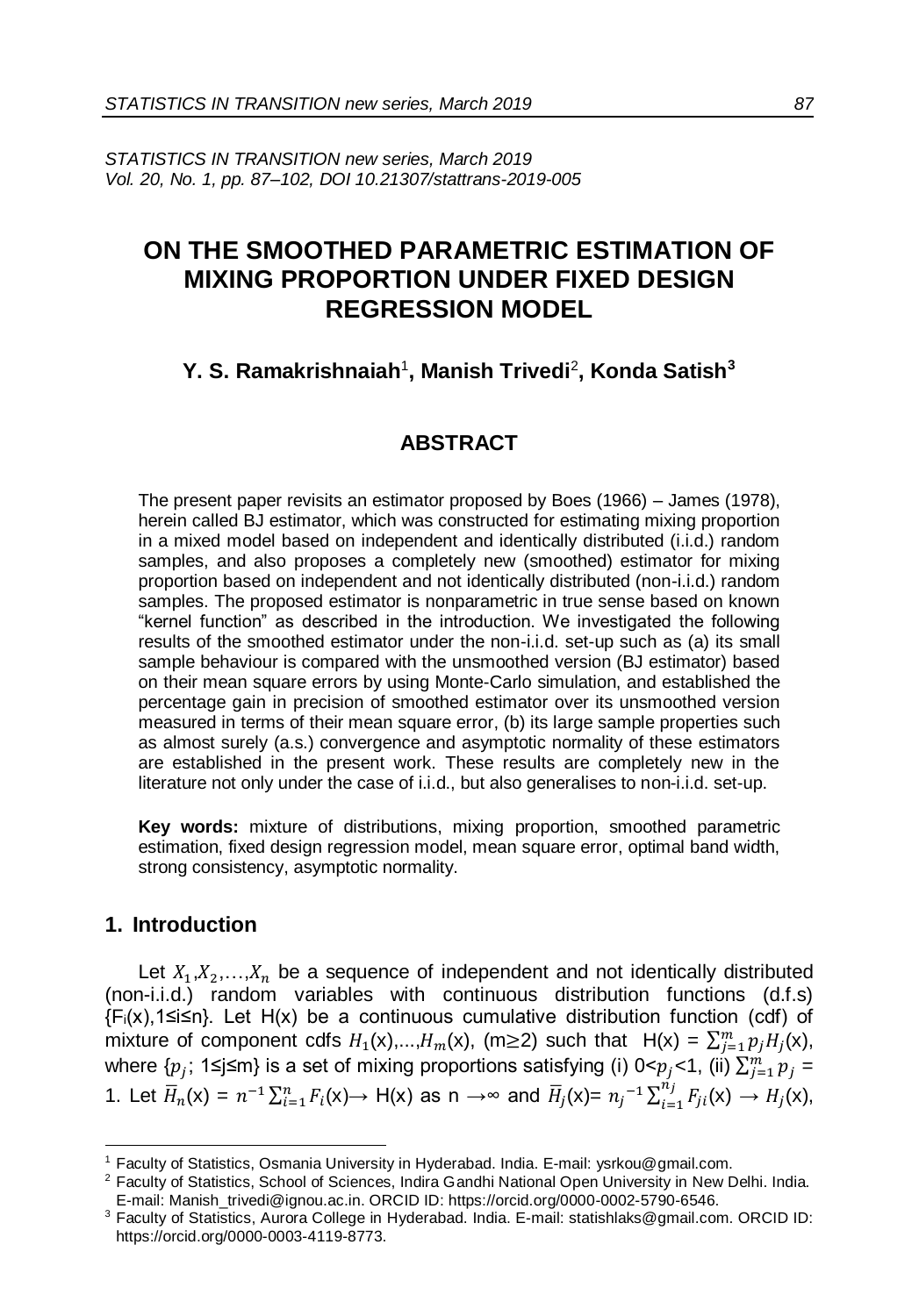*STATISTICS IN TRANSITION new series, March 2019 Vol. 20, No. 1, pp. 87–102, DOI 10.21307/stattrans-2019-005*

# **ON THE SMOOTHED PARAMETRIC ESTIMATION OF MIXING PROPORTION UNDER FIXED DESIGN REGRESSION MODEL**

# **Y. S. Ramakrishnaiah**<sup>1</sup> **, Manish Trivedi**<sup>2</sup> **, Konda Satish<sup>3</sup>**

## **ABSTRACT**

The present paper revisits an estimator proposed by Boes (1966) – James (1978), herein called BJ estimator, which was constructed for estimating mixing proportion in a mixed model based on independent and identically distributed (i.i.d.) random samples, and also proposes a completely new (smoothed) estimator for mixing proportion based on independent and not identically distributed (non-i.i.d.) random samples. The proposed estimator is nonparametric in true sense based on known "kernel function" as described in the introduction. We investigated the following results of the smoothed estimator under the non-i.i.d. set-up such as (a) its small sample behaviour is compared with the unsmoothed version (BJ estimator) based on their mean square errors by using Monte-Carlo simulation, and established the percentage gain in precision of smoothed estimator over its unsmoothed version measured in terms of their mean square error, (b) its large sample properties such as almost surely (a.s.) convergence and asymptotic normality of these estimators are established in the present work. These results are completely new in the literature not only under the case of i.i.d., but also generalises to non-i.i.d. set-up.

**Key words:** mixture of distributions, mixing proportion, smoothed parametric estimation, fixed design regression model, mean square error, optimal band width, strong consistency, asymptotic normality.

## **1. Introduction**

l

Let  $X_1, X_2, \ldots, X_n$  be a sequence of independent and not identically distributed (non-i.i.d.) random variables with continuous distribution functions (d.f.s) {Fi(x),1≤i≤n}. Let H(x) be a continuous cumulative distribution function (cdf) of mixture of component cdfs  $H_1(x),...,H_m(x),$  (m  $\geq$  2) such that  $H(x) = \sum_{j=1}^m p_j H_j(x)$ , where { $p_j$ ; 1≤j≤m} is a set of mixing proportions satisfying (i) 0< $p_j$ <1, (ii)  $\sum_{j=1}^m p_j = 1$ 1. Let  $\overline{H}_n(x) = n^{-1} \sum_{i=1}^n F_i(x) \rightarrow H(x)$  as  $n \rightarrow \infty$  and  $\overline{H}_j(x) = n_j^{-1} \sum_{i=1}^{n_j} F_{ji}$  $\int_{i=1}^{n_j} F_{ji}(x) \rightarrow H_j(x),$ 

<sup>&</sup>lt;sup>1</sup> Faculty of Statistics, Osmania University in Hyderabad. India. E-mail: ysrkou@gmail.com.

<sup>&</sup>lt;sup>2</sup> Faculty of Statistics, School of Sciences, Indira Gandhi National Open University in New Delhi. India. E-mail[: Manish\\_trivedi@ignou.ac.in.](mailto:Manish_trivedi@ignou.ac.in) ORCID ID: https://orcid.org/0000-0002-5790-6546.

<sup>3</sup> Faculty of Statistics, Aurora College in Hyderabad. India. E-mail[: statishlaks@gmail.com.](mailto:statishlaks@gmail.com) ORCID ID: https://orcid.org/0000-0003-4119-8773.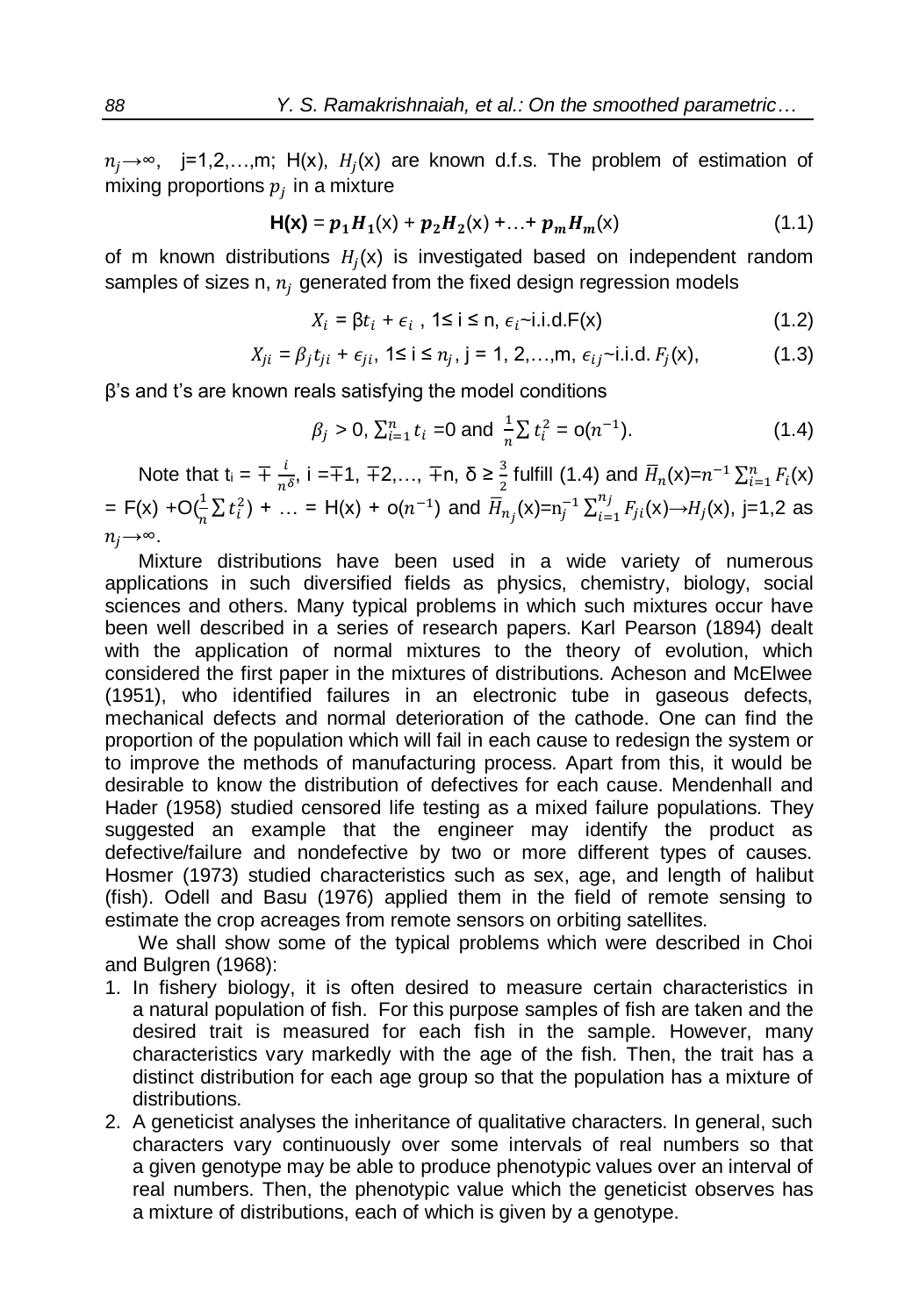$n_j \rightarrow \infty$ , j=1,2,...,m; H(x),  $H_j(x)$  are known d.f.s. The problem of estimation of mixing proportions  $\overline{p}_j$  in a mixture

$$
H(x) = p_1 H_1(x) + p_2 H_2(x) + ... + p_m H_m(x)
$$
\n(1.1)

of m known distributions  $H_j(x)$  is investigated based on independent random samples of sizes n,  $n_i$  generated from the fixed design regression models

$$
X_i = \beta t_i + \epsilon_i, \ 1 \le i \le n, \ \epsilon_i \sim i.i.d.F(x) \tag{1.2}
$$

$$
X_{ji} = \beta_j t_{ji} + \epsilon_{ji}, \ 1 \le i \le n_j, \ j = 1, 2, ..., m, \ \epsilon_{ij} \sim i.i.d. \ F_j(x), \tag{1.3}
$$

β's and t's are known reals satisfying the model conditions

$$
\beta_j > 0, \sum_{i=1}^n t_i = 0 \text{ and } \frac{1}{n} \sum t_i^2 = o(n^{-1}).
$$
\n(1.4)

Note that  $t_i = \pm \frac{i}{\pi i}$  $\frac{i}{n^{\delta}}$ , i =∓1, ∓2,..., ∓n,  $\delta \ge \frac{3}{2}$  fulfill (1.4) and  $\overline{H}_n(x)=n^{-1}\sum_{i=1}^n F_i(x)$ = F(x) +O( $\frac{1}{n} \sum t_i^2$ ) + ... = H(x) + o( $n^{-1}$ ) and  $\overline{H}_{n_j}(x)$ =n<sub>j</sub><sup>-1</sup>  $\sum_{i=1}^{n_j} F_{ji}$  $\int_{i=1}^{T} F_{ji}(x) \rightarrow H_j(x)$ , j=1,2 as  $n_i \rightarrow \infty$ .

Mixture distributions have been used in a wide variety of numerous applications in such diversified fields as physics, chemistry, biology, social sciences and others. Many typical problems in which such mixtures occur have been well described in a series of research papers. Karl Pearson (1894) dealt with the application of normal mixtures to the theory of evolution, which considered the first paper in the mixtures of distributions. Acheson and McElwee (1951), who identified failures in an electronic tube in gaseous defects, mechanical defects and normal deterioration of the cathode. One can find the proportion of the population which will fail in each cause to redesign the system or to improve the methods of manufacturing process. Apart from this, it would be desirable to know the distribution of defectives for each cause. Mendenhall and Hader (1958) studied censored life testing as a mixed failure populations. They suggested an example that the engineer may identify the product as defective/failure and nondefective by two or more different types of causes. Hosmer (1973) studied characteristics such as sex, age, and length of halibut (fish). Odell and Basu (1976) applied them in the field of remote sensing to estimate the crop acreages from remote sensors on orbiting satellites.

We shall show some of the typical problems which were described in Choi and Bulgren (1968):

- 1. In fishery biology, it is often desired to measure certain characteristics in a natural population of fish. For this purpose samples of fish are taken and the desired trait is measured for each fish in the sample. However, many characteristics vary markedly with the age of the fish. Then, the trait has a distinct distribution for each age group so that the population has a mixture of distributions.
- 2. A geneticist analyses the inheritance of qualitative characters. In general, such characters vary continuously over some intervals of real numbers so that a given genotype may be able to produce phenotypic values over an interval of real numbers. Then, the phenotypic value which the geneticist observes has a mixture of distributions, each of which is given by a genotype.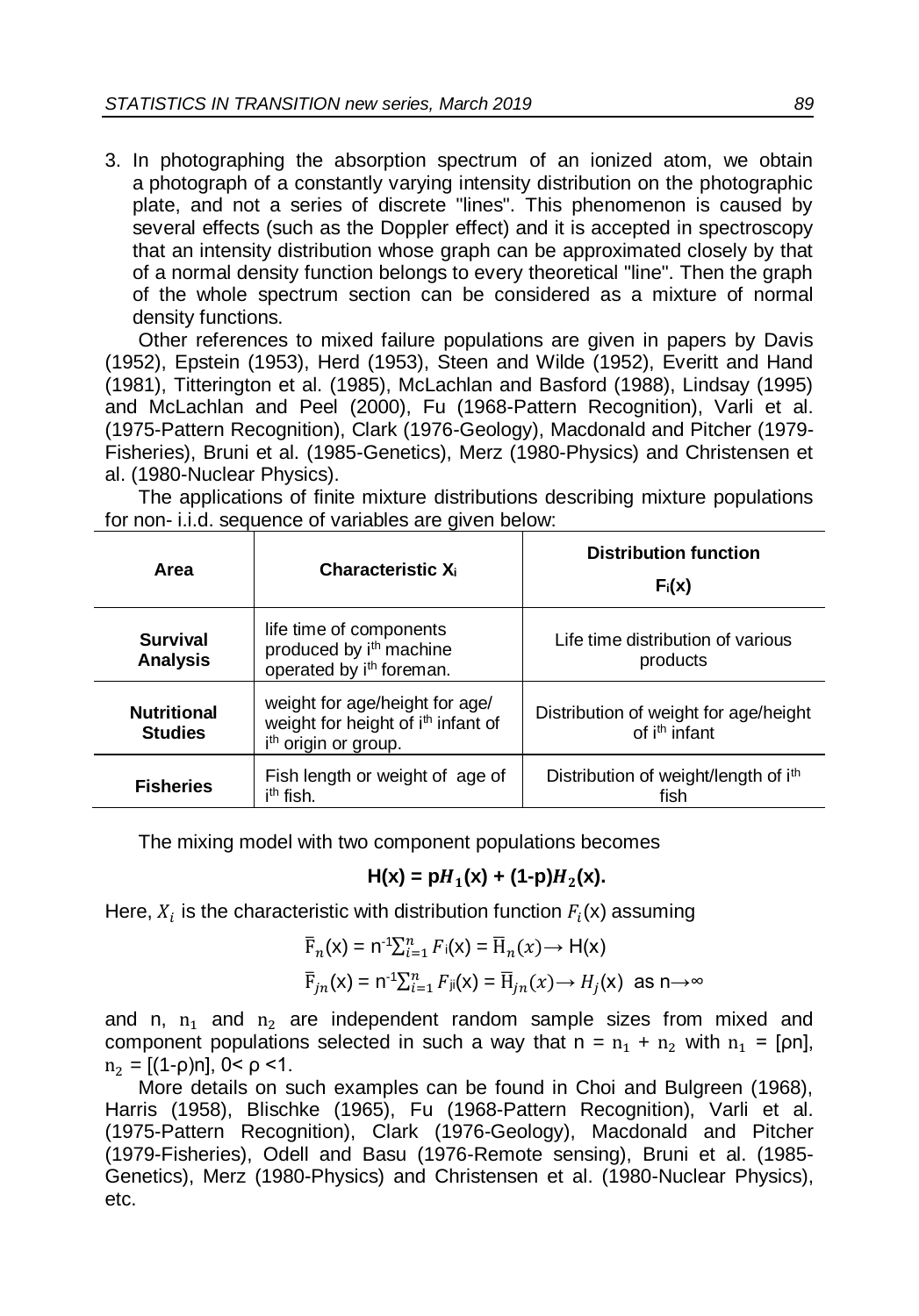3. In photographing the absorption spectrum of an ionized atom, we obtain a photograph of a constantly varying intensity distribution on the photographic plate, and not a series of discrete "lines". This phenomenon is caused by several effects (such as the Doppler effect) and it is accepted in spectroscopy that an intensity distribution whose graph can be approximated closely by that of a normal density function belongs to every theoretical "line". Then the graph of the whole spectrum section can be considered as a mixture of normal density functions.

Other references to mixed failure populations are given in papers by Davis (1952), Epstein (1953), Herd (1953), Steen and Wilde (1952), Everitt and Hand (1981), Titterington et al. (1985), McLachlan and Basford (1988), Lindsay (1995) and McLachlan and Peel (2000), Fu (1968-Pattern Recognition), Varli et al. (1975-Pattern Recognition), Clark (1976-Geology), Macdonald and Pitcher (1979- Fisheries), Bruni et al. (1985-Genetics), Merz (1980-Physics) and Christensen et al. (1980-Nuclear Physics).

The applications of finite mixture distributions describing mixture populations for non- i.i.d. sequence of variables are given below:

| Area                                 | <b>Characteristic X</b>                                                                                              | <b>Distribution function</b><br>$F_i(x)$                           |  |  |  |
|--------------------------------------|----------------------------------------------------------------------------------------------------------------------|--------------------------------------------------------------------|--|--|--|
| <b>Survival</b><br><b>Analysis</b>   | life time of components<br>produced by i <sup>th</sup> machine<br>operated by i <sup>th</sup> foreman.               | Life time distribution of various<br>products                      |  |  |  |
| <b>Nutritional</b><br><b>Studies</b> | weight for age/height for age/<br>weight for height of i <sup>th</sup> infant of<br>i <sup>th</sup> origin or group. | Distribution of weight for age/height<br>of i <sup>th</sup> infant |  |  |  |
| <b>Fisheries</b>                     | Fish length or weight of age of<br>i <sup>th</sup> fish.                                                             | Distribution of weight/length of ith<br>fish                       |  |  |  |

The mixing model with two component populations becomes

# $H(x) = pH_1(x) + (1-p)H_2(x).$

Here,  $X_i$  is the characteristic with distribution function  $F_i(\mathsf{x})$  assuming

$$
\overline{F}_n(x) = n^{-1} \sum_{i=1}^n F_i(x) = \overline{H}_n(x) \to H(x)
$$
  

$$
\overline{F}_{jn}(x) = n^{-1} \sum_{i=1}^n F_{ji}(x) = \overline{H}_{jn}(x) \to H_j(x) \text{ as } n \to \infty
$$

and n,  $n_1$  and  $n_2$  are independent random sample sizes from mixed and component populations selected in such a way that  $n = n_1 + n_2$  with  $n_1 = \lceil \rho n \rceil$ ,  $n_2 = [(1-\rho)n]$ ,  $0 < \rho < 1$ .

More details on such examples can be found in Choi and Bulgreen (1968), Harris (1958), Blischke (1965), Fu (1968-Pattern Recognition), Varli et al. (1975-Pattern Recognition), Clark (1976-Geology), Macdonald and Pitcher (1979-Fisheries), Odell and Basu (1976-Remote sensing), Bruni et al. (1985- Genetics), Merz (1980-Physics) and Christensen et al. (1980-Nuclear Physics), etc.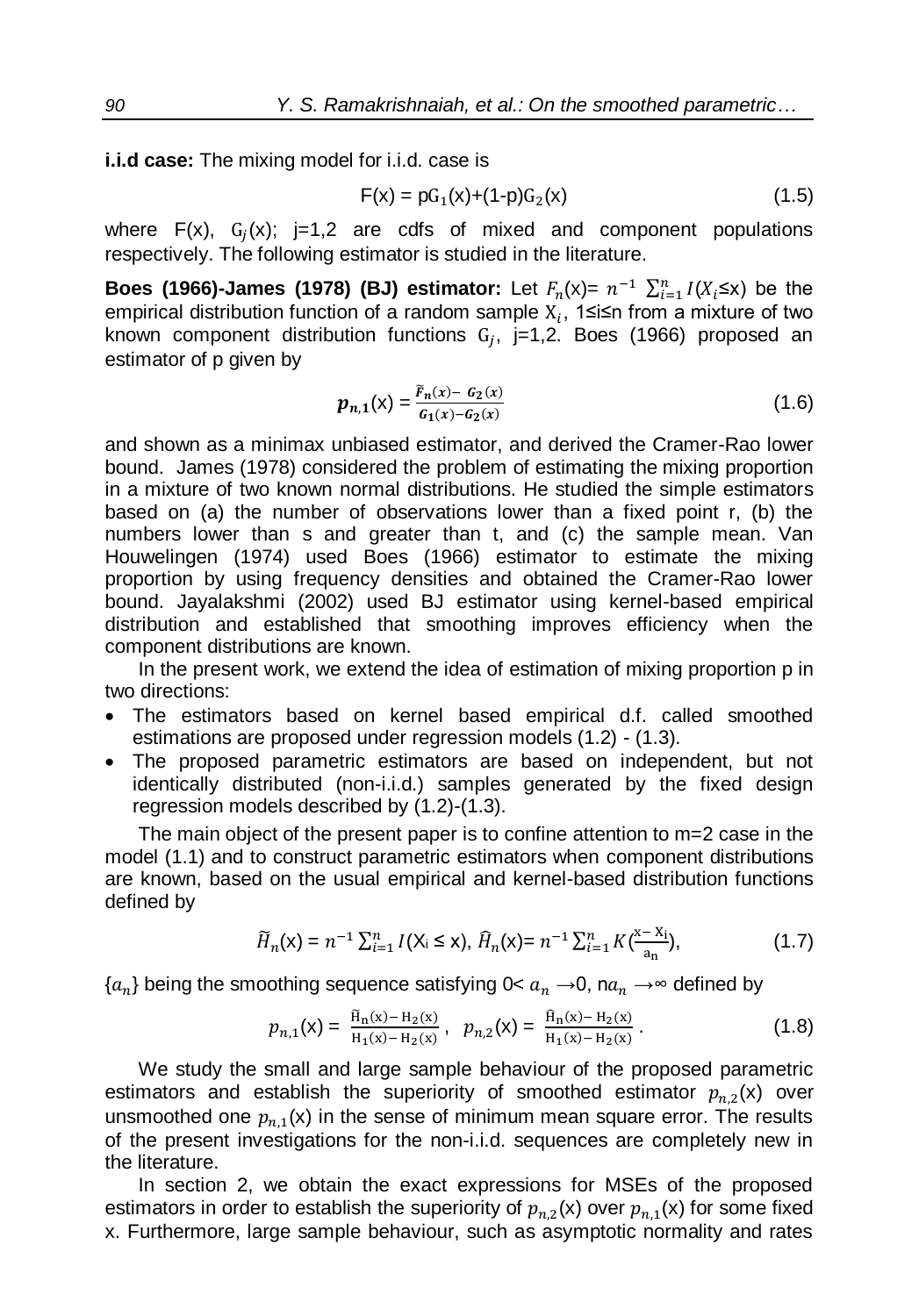**i.i.d case:** The mixing model for i.i.d. case is

$$
F(x) = pG_1(x) + (1-p)G_2(x)
$$
 (1.5)

where  $F(x)$ ,  $G_j(x)$ ; j=1,2 are cdfs of mixed and component populations respectively. The following estimator is studied in the literature.

**Boes (1966)-James (1978) (BJ) estimator:** Let  $F_n(x) = n^{-1} \sum_{i=1}^n I(X_i \le x)$  be the empirical distribution function of a random sample  $\mathrm{X}_i$ , 1≤i≤n from a mixture of two known component distribution functions  $G_j$ , j=1,2. Boes (1966) proposed an estimator of p given by

$$
p_{n,1}(x) = \frac{\tilde{r}_n(x) - G_2(x)}{G_1(x) - G_2(x)}\tag{1.6}
$$

and shown as a minimax unbiased estimator, and derived the Cramer-Rao lower bound. James (1978) considered the problem of estimating the mixing proportion in a mixture of two known normal distributions. He studied the simple estimators based on (a) the number of observations lower than a fixed point r, (b) the numbers lower than s and greater than t, and (c) the sample mean. Van Houwelingen (1974) used Boes (1966) estimator to estimate the mixing proportion by using frequency densities and obtained the Cramer-Rao lower bound. Jayalakshmi (2002) used BJ estimator using kernel-based empirical distribution and established that smoothing improves efficiency when the component distributions are known.

In the present work, we extend the idea of estimation of mixing proportion p in two directions:

- The estimators based on kernel based empirical d.f. called smoothed estimations are proposed under regression models (1.2) - (1.3).
- The proposed parametric estimators are based on independent, but not identically distributed (non-i.i.d.) samples generated by the fixed design regression models described by (1.2)-(1.3).

The main object of the present paper is to confine attention to m=2 case in the model (1.1) and to construct parametric estimators when component distributions are known, based on the usual empirical and kernel-based distribution functions defined by

$$
\widetilde{H}_n(\mathsf{x}) = n^{-1} \sum_{i=1}^n I(\mathsf{X}_i \le \mathsf{x}), \ \widehat{H}_n(\mathsf{x}) = n^{-1} \sum_{i=1}^n K\left(\frac{\mathsf{x} - \mathsf{X}_i}{a_n}\right), \tag{1.7}
$$

 ${a_n}$  being the smoothing sequence satisfying 0<  $a_n \rightarrow 0$ , n $a_n \rightarrow \infty$  defined by

$$
p_{n,1}(\mathbf{x}) = \frac{\tilde{\mathbf{H}}_n(\mathbf{x}) - \mathbf{H}_2(\mathbf{x})}{\mathbf{H}_1(\mathbf{x}) - \mathbf{H}_2(\mathbf{x})}, \quad p_{n,2}(\mathbf{x}) = \frac{\tilde{\mathbf{H}}_n(\mathbf{x}) - \mathbf{H}_2(\mathbf{x})}{\mathbf{H}_1(\mathbf{x}) - \mathbf{H}_2(\mathbf{x})}.
$$
 (1.8)

We study the small and large sample behaviour of the proposed parametric estimators and establish the superiority of smoothed estimator  $p_{n,2}(x)$  over unsmoothed one  $p_{n,1}(\mathsf{x})$  in the sense of minimum mean square error. The results of the present investigations for the non-i.i.d. sequences are completely new in the literature.

In section 2, we obtain the exact expressions for MSEs of the proposed estimators in order to establish the superiority of  $p_{n,2}(\mathsf{x})$  over  $p_{n,1}(\mathsf{x})$  for some fixed x. Furthermore, large sample behaviour, such as asymptotic normality and rates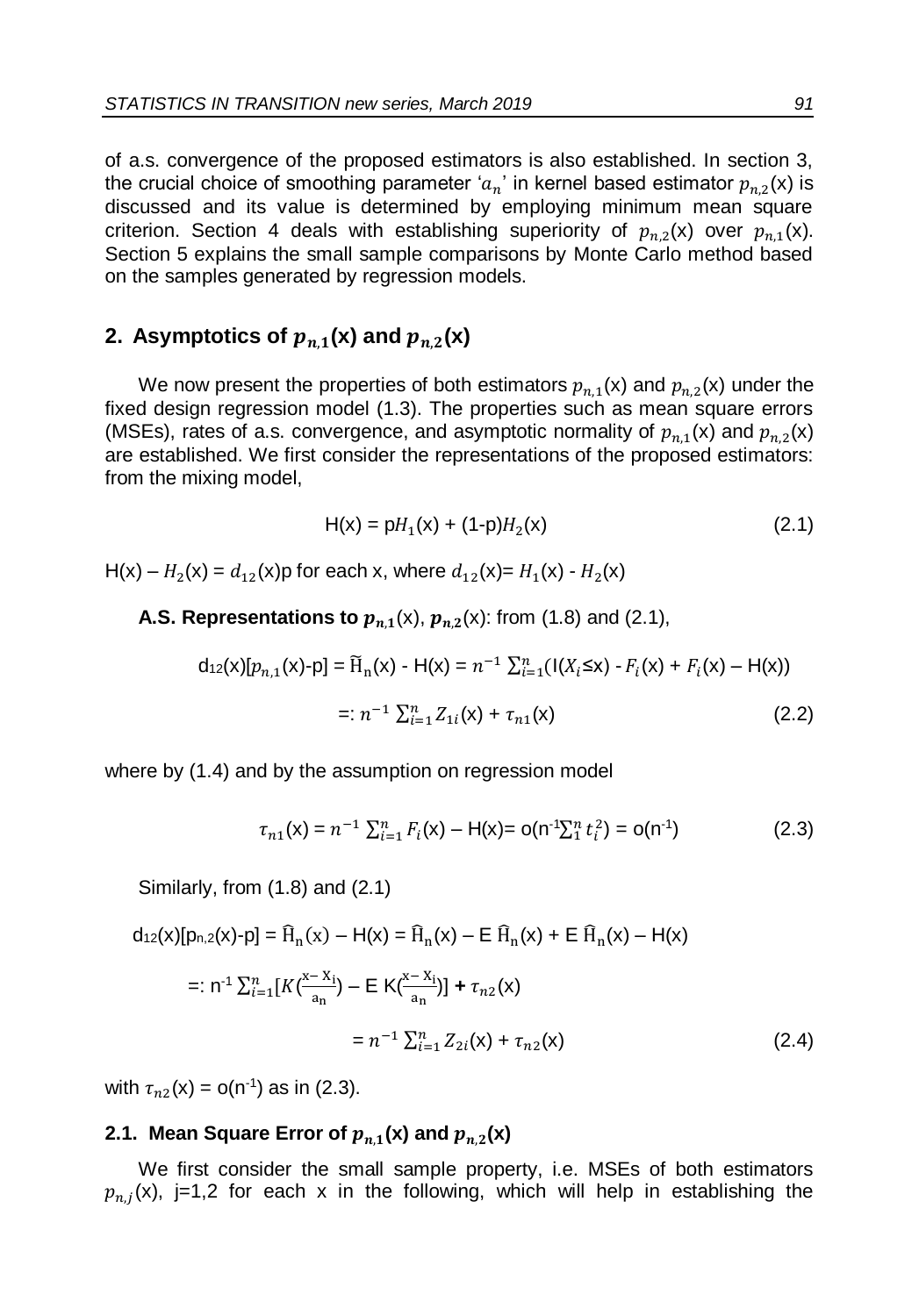of a.s. convergence of the proposed estimators is also established. In section 3, the crucial choice of smoothing parameter ' $a_n^{\phantom{\dag}}$  in kernel based estimator  $p_{n,2}^{\phantom{\dag}}(\mathsf{x})$  is discussed and its value is determined by employing minimum mean square criterion. Section 4 deals with establishing superiority of  $p_{n,2}(x)$  over  $p_{n,1}(x)$ . Section 5 explains the small sample comparisons by Monte Carlo method based on the samples generated by regression models.

## **2.** Asymptotics of  $p_{n,1}(x)$  and  $p_{n,2}(x)$

We now present the properties of both estimators  $p_{n,1}(\mathsf{x})$  and  $p_{n,2}(\mathsf{x})$  under the fixed design regression model (1.3). The properties such as mean square errors (MSEs), rates of a.s. convergence, and asymptotic normality of  $p_{n,1}(\mathsf{x})$  and  $p_{n,2}(\mathsf{x})$ are established. We first consider the representations of the proposed estimators: from the mixing model,

$$
H(x) = pH_1(x) + (1-p)H_2(x)
$$
 (2.1)

 $H(x) - H_2(x) = d_{12}(x)$ p for each x, where  $d_{12}(x) = H_1(x) - H_2(x)$ 

## **A.S. Representations to**  $p_{n,1}(x)$ **,**  $p_{n,2}(x)$ **: from (1.8) and (2.1),**

$$
d_{12}(x)[p_{n,1}(x)-p] = \widetilde{H}_n(x) - H(x) = n^{-1} \sum_{i=1}^n (I(X_i \le x) - F_i(x) + F_i(x) - H(x))
$$
  
=:  $n^{-1} \sum_{i=1}^n Z_{1i}(x) + \tau_{n1}(x)$  (2.2)

where by (1.4) and by the assumption on regression model

$$
\tau_{n1}(x) = n^{-1} \sum_{i=1}^{n} F_i(x) - H(x) = o(n^{-1} \sum_{i=1}^{n} t_i^2) = o(n^{-1})
$$
\n(2.3)

Similarly, from (1.8) and (2.1)

 $d_{12}(x)[p_{n,2}(x)-p] = \widehat{H}_n(x) - H(x) = \widehat{H}_n(x) - E \widehat{H}_n(x) + E \widehat{H}_n(x) - H(x)$ 

$$
=: n^{-1} \sum_{i=1}^{n} [K(\frac{x - x_i}{a_n}) - E K(\frac{x - x_i}{a_n})] + \tau_{n2}(x)
$$
  

$$
= n^{-1} \sum_{i=1}^{n} Z_{2i}(x) + \tau_{n2}(x)
$$
 (2.4)

with  $\tau_{n2}(x) = o(n^{-1})$  as in (2.3).

## 2.1. Mean Square Error of  $p_{n,1}(\mathsf{x})$  and  $p_{n,2}(\mathsf{x})$

We first consider the small sample property, i.e. MSEs of both estimators  $p_{n,j}(\mathsf{x})$ , j=1,2 for each x in the following, which will help in establishing the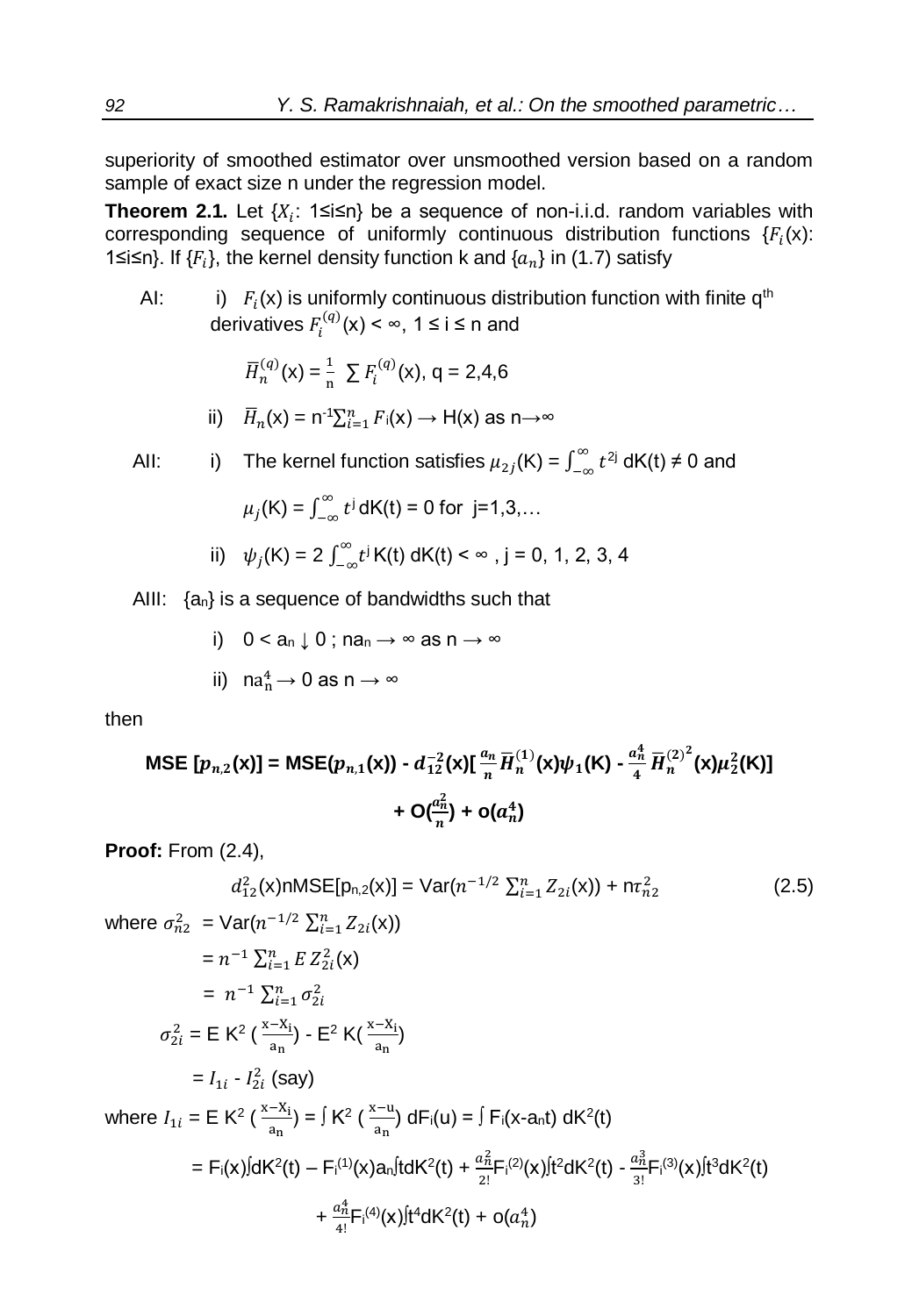superiority of smoothed estimator over unsmoothed version based on a random sample of exact size n under the regression model.

**Theorem 2.1.** Let {X<sub>i</sub>: 1≤i≤n} be a sequence of non-i.i.d. random variables with corresponding sequence of uniformly continuous distribution functions  $\{F_i(\mathsf{x})\}$ : 1≤i≤n}. If  $\{F_i\}$ , the kernel density function k and  $\{a_n\}$  in (1.7) satisfy

AI: i)  $F_i(x)$  is uniformly continuous distribution function with finite q<sup>th</sup> derivatives  $F_i^{(q)}(x) < \infty$ , 1 ≤ i ≤ n and

$$
\overline{H}_n^{(q)}(\mathsf{x}) = \frac{1}{n} \sum F_i^{(q)}(\mathsf{x}), \mathsf{q} = 2,4,6
$$

ii) 
$$
\overline{H}_n(x) = n^{-1} \sum_{i=1}^n F_i(x) \rightarrow H(x)
$$
 as  $n \rightarrow \infty$ 

All: i) The Kernel function satisfies 
$$
\mu_{2j}(K) = \int_{-\infty}^{\infty} t^{2j} dK(t) \neq 0
$$
 and

$$
\mu_j(K) = \int_{-\infty}^{\infty} t^j dK(t) = 0
$$
 for j=1,3,...

ii) 
$$
\psi_j(K) = 2 \int_{-\infty}^{\infty} t^j K(t) dK(t) < \infty
$$
, j = 0, 1, 2, 3, 4

AIII:  $\{a_n\}$  is a sequence of bandwidths such that

i) 
$$
0 < a_n \downarrow 0
$$
;  $na_n \rightarrow \infty$  as  $n \rightarrow \infty$   
ii)  $na_n^4 \rightarrow 0$  as  $n \rightarrow \infty$ 

then

$$
\text{MSE} \left[ p_{n,2}(\mathbf{x}) \right] = \text{MSE}(p_{n,1}(\mathbf{x})) - d_{12}^{-2}(\mathbf{x}) \left[ \frac{a_n}{n} \overline{H}_n^{(1)}(\mathbf{x}) \psi_1(\mathbf{K}) - \frac{a_n^4}{4} \overline{H}_n^{(2)^2}(\mathbf{x}) \mu_2^2(\mathbf{K}) \right] + O(\frac{a_n^2}{n}) + o(a_n^4)
$$

**Proof:** From (2.4),

$$
d_{12}^2(x) \cap \text{MSE}[p_{n,2}(x)] = \text{Var}(n^{-1/2} \sum_{i=1}^n Z_{2i}(x)) + n\tau_{n2}^2
$$
 (2.5)

where 
$$
\sigma_{n2}^2 = \text{Var}(n^{-1/2} \sum_{i=1}^n Z_{2i}(x))
$$
  
\n
$$
= n^{-1} \sum_{i=1}^n E Z_{2i}^2(x)
$$
\n
$$
= n^{-1} \sum_{i=1}^n \sigma_{2i}^2
$$
\n
$$
\sigma_{2i}^2 = E K^2 \left( \frac{x - x_i}{a_n} \right) - E^2 K \left( \frac{x - x_i}{a_n} \right)
$$
\n
$$
= I_{1i} - I_{2i}^2 \text{ (say)}
$$
\nwhere  $I_{1i} = E K^2 \left( \frac{x - x_i}{a_n} \right) = \int K^2 \left( \frac{x - u}{a_n} \right) dF_i(u) = \int F_i(x - a_n t) dK^2(t)$   
\n
$$
= F_i(x) \int dK^2(t) - F_i^{(1)}(x) a_n f dK^2(t) + \frac{a_n^2}{2!} F_i^{(2)}(x) \int t^2 dK^2(t) - \frac{a_n^3}{3!} F_i^{(3)}(x) \int t^3 dK^2(t) + \frac{a_n^4}{4!} F_i^{(4)}(x) \int t^4 dK^2(t) + o(a_n^4)
$$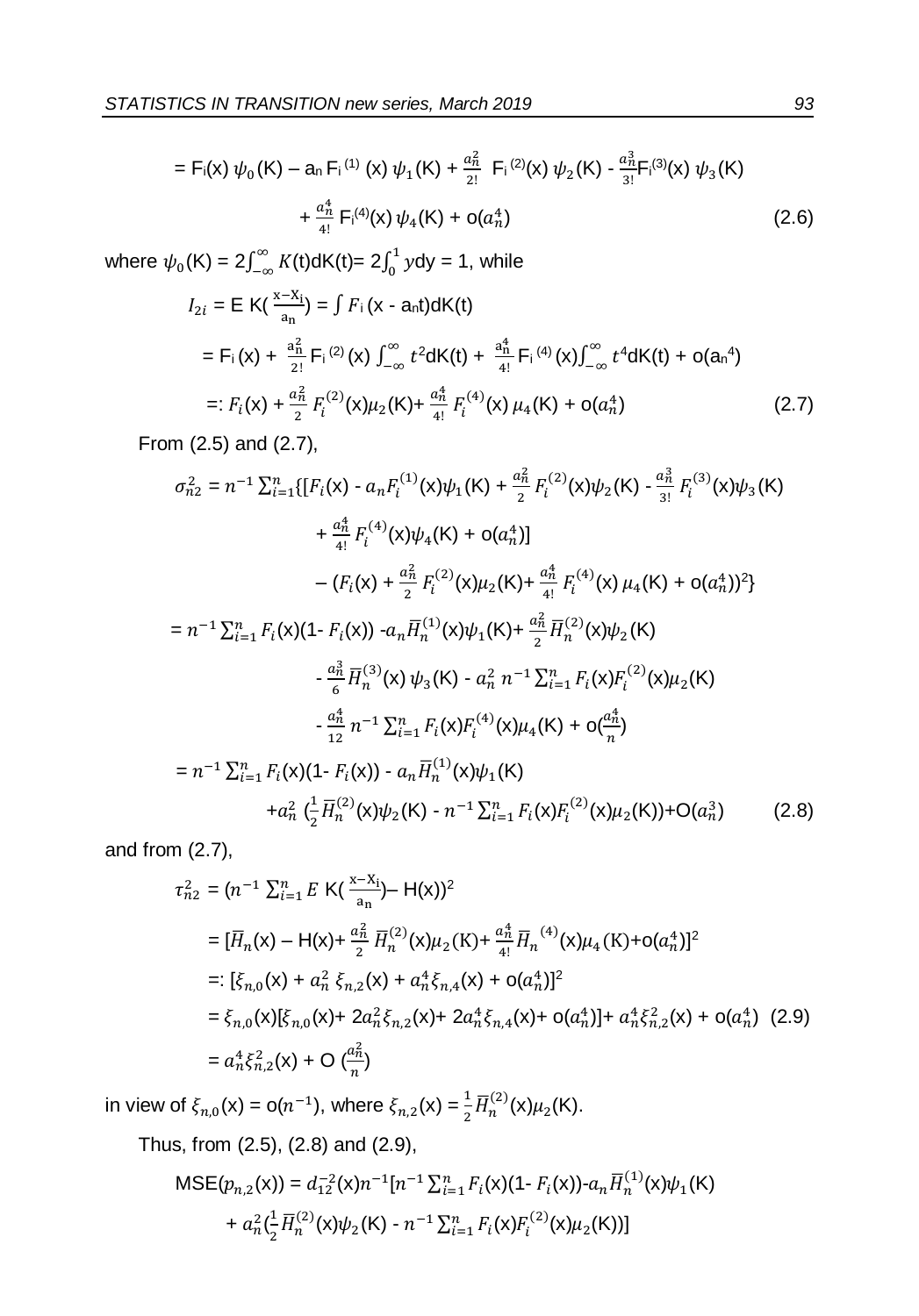$$
= F_{i}(x) \psi_{0}(K) - a_{n} F_{i}^{(1)}(x) \psi_{1}(K) + \frac{a_{n}^{2}}{2!} F_{i}^{(2)}(x) \psi_{2}(K) - \frac{a_{n}^{3}}{3!} F_{i}^{(3)}(x) \psi_{3}(K) + \frac{a_{n}^{4}}{4!} F_{i}^{(4)}(x) \psi_{4}(K) + o(a_{n}^{4})
$$
\n(2.6)

where  $\psi_0$  (K) =  $2\int_{-\infty}^{\infty} K$  $\int_{-\infty}^{\infty} K(t) dK(t) = 2 \int_{0}^{1} y$  $\int_0^1 y dy = 1$ , while

$$
I_{2i} = \mathsf{E} \, \mathsf{K}(\frac{x - x_i}{a_n}) = \int F_i \, (x - a_n t) \, d\mathsf{K}(t)
$$
\n
$$
= F_i \, (x) + \frac{a_n^2}{2!} F_i \, (2)} \, (x) \, \int_{-\infty}^{\infty} t^2 \, d\mathsf{K}(t) + \frac{a_n^4}{4!} F_i \, (4)} \, (x) \int_{-\infty}^{\infty} t^4 \, d\mathsf{K}(t) + o(a_n^4)
$$
\n
$$
=: F_i(x) + \frac{a_n^2}{2} F_i \, (2)} \, (x) \mu_2 \, (K) + \frac{a_n^4}{4!} F_i \, (4)} \, (x) \, \mu_4 \, (K) + o(a_n^4) \tag{2.7}
$$

From (2.5) and (2.7),

$$
\sigma_{n2}^2 = n^{-1} \sum_{i=1}^n \{ [F_i(\mathbf{x}) - a_n F_i^{(1)}(\mathbf{x}) \psi_1(\mathbf{K}) + \frac{a_n^2}{2} F_i^{(2)}(\mathbf{x}) \psi_2(\mathbf{K}) - \frac{a_n^3}{3!} F_i^{(3)}(\mathbf{x}) \psi_3(\mathbf{K})
$$
  
+  $\frac{a_n^4}{4!} F_i^{(4)}(\mathbf{x}) \psi_4(\mathbf{K}) + o(a_n^4) \}$   
-  $(F_i(\mathbf{x}) + \frac{a_n^2}{2} F_i^{(2)}(\mathbf{x}) \mu_2(\mathbf{K}) + \frac{a_n^4}{4!} F_i^{(4)}(\mathbf{x}) \mu_4(\mathbf{K}) + o(a_n^4))^2 \}$   
=  $n^{-1} \sum_{i=1}^n F_i(\mathbf{x}) (1 - F_i(\mathbf{x})) - a_n \overline{H}_n^{(1)}(\mathbf{x}) \psi_1(\mathbf{K}) + \frac{a_n^2}{2} \overline{H}_n^{(2)}(\mathbf{x}) \psi_2(\mathbf{K})$   
-  $\frac{a_n^3}{6} \overline{H}_n^{(3)}(\mathbf{x}) \psi_3(\mathbf{K}) - a_n^2 n^{-1} \sum_{i=1}^n F_i(\mathbf{x}) F_i^{(2)}(\mathbf{x}) \mu_2(\mathbf{K})$   
-  $\frac{a_n^4}{12} n^{-1} \sum_{i=1}^n F_i(\mathbf{x}) F_i^{(4)}(\mathbf{x}) \mu_4(\mathbf{K}) + o(\frac{a_n^4}{n})$   
=  $n^{-1} \sum_{i=1}^n F_i(\mathbf{x}) (1 - F_i(\mathbf{x})) - a_n \overline{H}_n^{(1)}(\mathbf{x}) \psi_1(\mathbf{K})$   
+  $a_n^2 (\frac{1}{2} \overline{H}_n^{(2)}(\mathbf{x}) \psi_2(\mathbf{K}) - n^{-1} \sum_{i=1}^n F_i(\mathbf{x}) F_i^{(2)}(\mathbf{x}) \mu_2(\mathbf{K}) + O(a_n^3)$  (2.8)

and from (2.7),

$$
\tau_{n2}^2 = (n^{-1} \sum_{i=1}^n E \, \mathsf{K}(\frac{x - x_i}{a_n}) - \mathsf{H}(\mathsf{x}))^2
$$
\n
$$
= [\overline{H}_n(\mathsf{x}) - \mathsf{H}(\mathsf{x}) + \frac{a_n^2}{2} \overline{H}_n^{(2)}(\mathsf{x}) \mu_2(\mathsf{K}) + \frac{a_n^4}{4!} \overline{H}_n^{(4)}(\mathsf{x}) \mu_4(\mathsf{K}) + \mathsf{o}(a_n^4)]^2
$$
\n
$$
= [\xi_{n,0}(\mathsf{x}) + a_n^2 \xi_{n,2}(\mathsf{x}) + a_n^4 \xi_{n,4}(\mathsf{x}) + \mathsf{o}(a_n^4)]^2
$$
\n
$$
= \xi_{n,0}(\mathsf{x}) [\xi_{n,0}(\mathsf{x}) + 2a_n^2 \xi_{n,2}(\mathsf{x}) + 2a_n^4 \xi_{n,4}(\mathsf{x}) + \mathsf{o}(a_n^4)] + a_n^4 \xi_{n,2}^2(\mathsf{x}) + \mathsf{o}(a_n^4) \quad (2.9)
$$
\n
$$
= a_n^4 \xi_{n,2}^2(\mathsf{x}) + \mathsf{O}\left(\frac{a_n^2}{n}\right)
$$

in view of  $\xi_{n,0}(\mathsf{x}) = \mathsf{o}(n^{-1})$ , where  $\xi_{n,2}(\mathsf{x}) = \frac{1}{2} \overline{H}_n^{(2)}(\mathsf{x}) \mu_2(\mathsf{K})$ .

Thus, from (2.5), (2.8) and (2.9),

$$
\begin{aligned} \text{MSE}(p_{n,2}(\mathbf{x})) &= d_{12}^{-2}(\mathbf{x})n^{-1}[n^{-1}\sum_{i=1}^{n}F_i(\mathbf{x})(1-F_i(\mathbf{x}))\cdot a_n\overline{H}_n^{(1)}(\mathbf{x})\psi_1(\mathsf{K}) \\ &+ a_n^2\left(\frac{1}{2}\overline{H}_n^{(2)}(\mathbf{x})\psi_2(\mathsf{K})\cdot n^{-1}\sum_{i=1}^{n}F_i(\mathbf{x})F_i^{(2)}(\mathbf{x})\mu_2(\mathsf{K}))\right] \end{aligned}
$$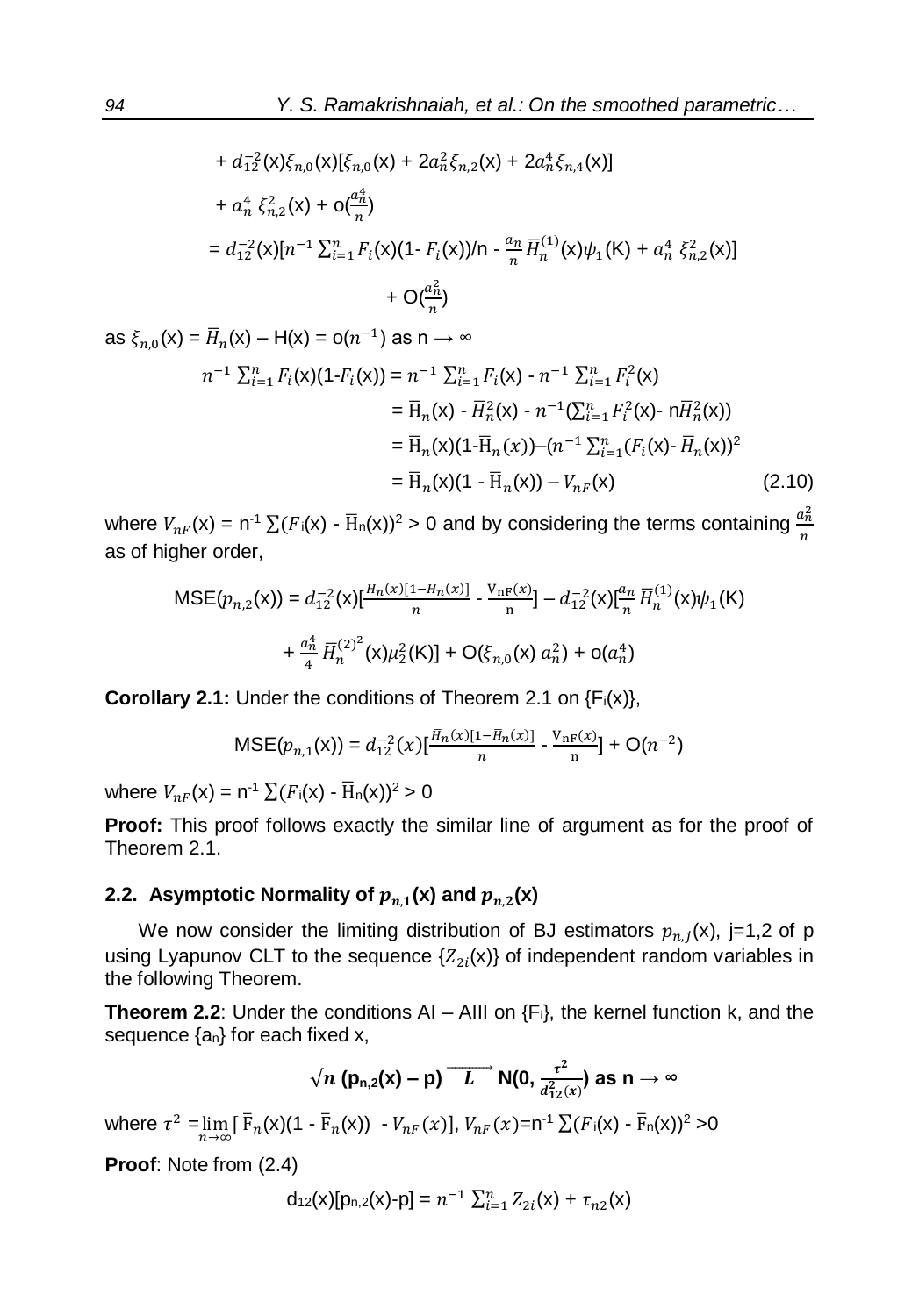$=\bar{H}_n(x)(1 - \bar{H}_n(x)) - V_{nF}(x)$  (2.10)

+ 
$$
d_{12}^{2}(x)\xi_{n,0}(x)[\xi_{n,0}(x) + 2a_{n}^{2}\xi_{n,2}(x) + 2a_{n}^{4}\xi_{n,4}(x)]
$$
  
\n+  $a_{n}^{4}\xi_{n,2}^{2}(x) + o(\frac{a_{n}^{4}}{n})$   
\n=  $d_{12}^{-2}(x)[n^{-1}\sum_{i=1}^{n}F_{i}(x)(1-F_{i}(x))/n - \frac{a_{n}}{n}\overline{H}_{n}^{(1)}(x)\psi_{1}(K) + a_{n}^{4}\xi_{n,2}^{2}(x)]$   
\n+  $O(\frac{a_{n}^{2}}{n})$ 

as 
$$
\xi_{n,0}(x) = \overline{H}_n(x) - H(x) = o(n^{-1})
$$
 as  $n \to \infty$   
\n
$$
n^{-1} \sum_{i=1}^n F_i(x) (1 - F_i(x)) = n^{-1} \sum_{i=1}^n F_i(x) - n^{-1} \sum_{i=1}^n F_i^2(x)
$$
\n
$$
= \overline{H}_n(x) - \overline{H}_n^2(x) - n^{-1} (\sum_{i=1}^n F_i^2(x) - n \overline{H}_n^2(x))
$$
\n
$$
= \overline{H}_n(x) (1 - \overline{H}_n(x)) - (n^{-1} \sum_{i=1}^n (F_i(x) - \overline{H}_n(x))^2
$$

where  $V_{nF}(\mathsf{x}) = \mathsf{n}^{-1} \sum (F_i(\mathsf{x}) - \overline{\mathrm{H}}_{n}(\mathsf{x}))^2 > 0$  and by considering the terms containing  $\frac{a_n^2}{n}$  $\boldsymbol{n}$ as of higher order,

$$
\begin{aligned} \text{MSE}(p_{n,2}(\mathbf{x})) &= d_{12}^{-2}(\mathbf{x}) \left[ \frac{\bar{H}_n(x)[1 - \bar{H}_n(x)]}{n} - \frac{V_{\text{nF}}(x)}{n} \right] - d_{12}^{-2}(\mathbf{x}) \left[ \frac{a_n}{n} \bar{H}_n^{(1)}(\mathbf{x}) \psi_1(\mathsf{K}) \right. \\ &\left. + \frac{a_n^4}{4} \, \bar{H}_n^{(2)^2}(\mathbf{x}) \mu_2^2(\mathsf{K}) \right] + \mathcal{O}(\xi_{n,0}(\mathbf{x}) \, a_n^2) + \mathcal{O}(a_n^4) \end{aligned}
$$

**Corollary 2.1:** Under the conditions of Theorem 2.1 on {F<sub>i</sub>(x)},

$$
\text{MSE}(p_{n,1}(\mathsf{x})) = d_{12}^{-2}(x) \left[ \frac{H_n(x)[1 - H_n(x)]}{n} - \frac{V_{\text{nF}}(x)}{n} \right] + \mathcal{O}(n^{-2})
$$

where  $V_{nF}(\mathsf{x}) = \mathsf{n}^{-1} \sum (F_i(\mathsf{x}) - \overline{\mathrm{H}}_{\mathsf{n}}(\mathsf{x}))^2 > 0$ 

**Proof:** This proof follows exactly the similar line of argument as for the proof of Theorem 2.1.

## 2.2. Asymptotic Normality of  $p_{n,1}(\mathsf{x})$  and  $p_{n,2}(\mathsf{x})$

We now consider the limiting distribution of BJ estimators  $p_{n,j}(x)$ , j=1,2 of p using Lyapunov CLT to the sequence  $\{Z_{2i}(x)\}$  of independent random variables in the following Theorem.

**Theorem 2.2**: Under the conditions AI – AIII on {Fi}, the kernel function k, and the sequence  $\{a_n\}$  for each fixed x,

$$
\sqrt{n} (p_{n,2}(x) - p) \overrightarrow{L} N(0, \frac{\tau^2}{d_{12}^2(x)})
$$
 as  $n \to \infty$ 

where  $\tau^2 = \lim_{n \to \infty} [\bar{F}_n(x)(1 - \bar{F}_n(x)) - V_{nF}(x)], V_{nF}(x) = n^{-1} \sum (F_i(x) - \bar{F}_n(x))^2 > 0$ 

**Proof**: Note from (2.4)

$$
d_{12}(x)[p_{n,2}(x)-p] = n^{-1} \sum_{i=1}^{n} Z_{2i}(x) + \tau_{n2}(x)
$$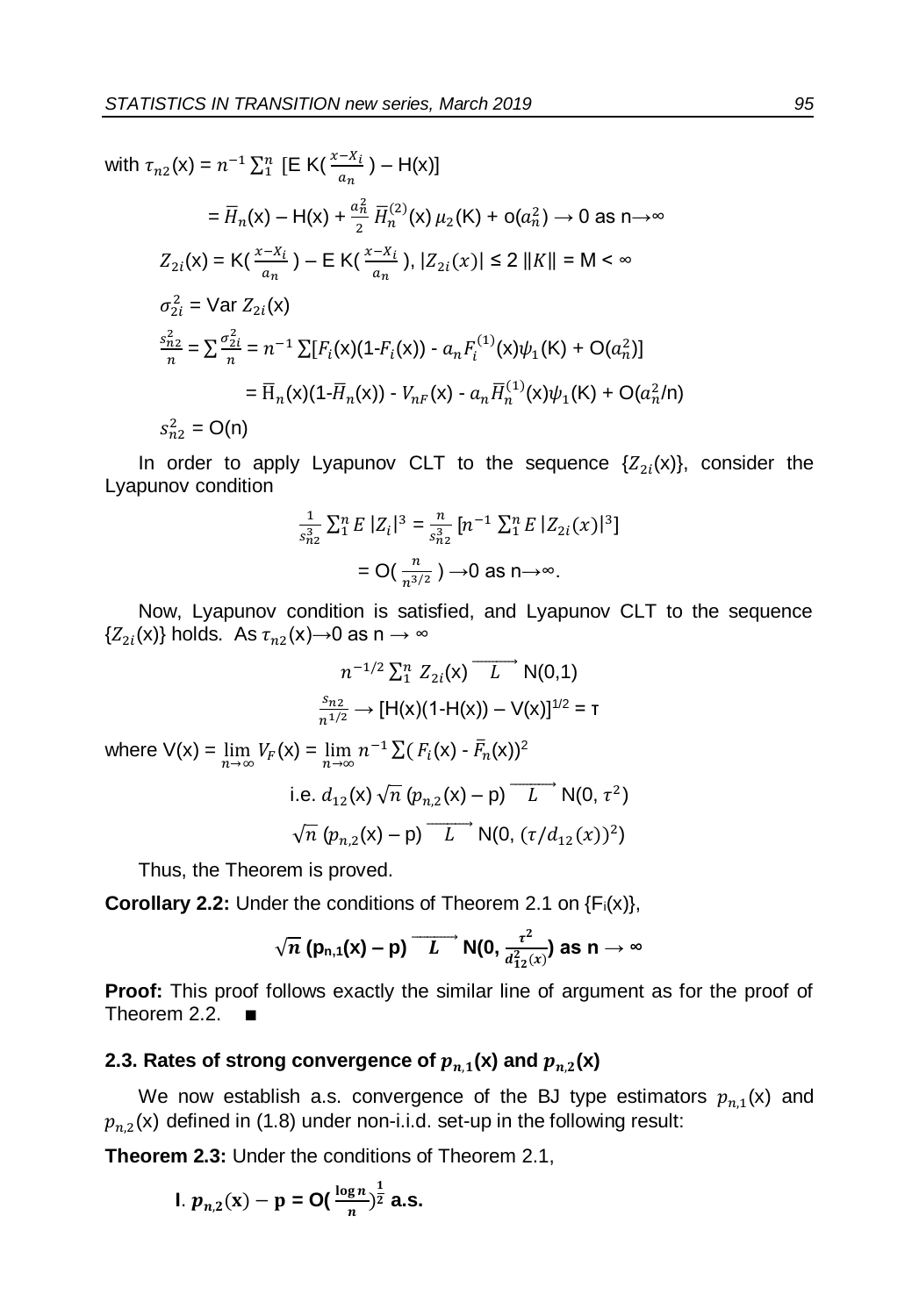with  $\tau_{n2}(x) = n^{-1} \sum_{i=1}^{n} [E K(\frac{x - x_i}{a_n}) - H(x)]$ 

$$
= \overline{H}_n(x) - H(x) + \frac{a_n^2}{2} \overline{H}_n^{(2)}(x) \mu_2(K) + o(a_n^2) \to 0 \text{ as } n \to \infty
$$
  
\n
$$
Z_{2i}(x) = K(\frac{x - x_i}{a_n}) - E K(\frac{x - x_i}{a_n}), |Z_{2i}(x)| \le 2 ||K|| = M < \infty
$$
  
\n
$$
\sigma_{2i}^2 = \text{Var } Z_{2i}(x)
$$
  
\n
$$
\frac{s_{n2}^2}{n} = \sum \frac{\sigma_{2i}^2}{n} = n^{-1} \sum [F_i(x)(1 - F_i(x)) - a_n F_i^{(1)}(x) \psi_1(K) + O(a_n^2)]
$$
  
\n
$$
= \overline{H}_n(x)(1 - \overline{H}_n(x)) - V_{nF}(x) - a_n \overline{H}_n^{(1)}(x) \psi_1(K) + O(a_n^2/n)
$$
  
\n
$$
S_{n2}^2 = O(n)
$$

In order to apply Lyapunov CLT to the sequence  $\{Z_{2i}(x)\}\)$ , consider the Lyapunov condition

$$
\frac{1}{s_{n2}^3} \sum_{i=1}^n E |Z_i|^3 = \frac{n}{s_{n2}^3} [n^{-1} \sum_{i=1}^n E |Z_{2i}(x)|^3]
$$

$$
= O(\frac{n}{n^{3/2}}) \to 0 \text{ as } n \to \infty.
$$

Now, Lyapunov condition is satisfied, and Lyapunov CLT to the sequence { $Z_{2i}(x)$ } holds. As  $\tau_{n2}(x)$ →0 as n → ∞

$$
n^{-1/2} \sum_{1}^{n} Z_{2i}(x) \overrightarrow{L} N(0,1)
$$

$$
\frac{s_{n2}}{n^{1/2}} \rightarrow [H(x)(1-H(x)) - V(x)]^{1/2} = T
$$

where  $V(x) = \lim_{n \to \infty} V_F(x) = \lim_{n \to \infty} n^{-1} \sum (F_i(x) - \overline{F}_n(x))^2$ 

i.e. 
$$
d_{12}(x) \sqrt{n} (p_{n,2}(x) - p) \overline{L} \ N(0, \tau^2)
$$
  
 $\sqrt{n} (p_{n,2}(x) - p) \overline{L} \ N(0, (\tau/d_{12}(x))^2)$ 

Thus, the Theorem is proved.

**Corollary 2.2:** Under the conditions of Theorem 2.1 on {F<sub>i</sub>(x)},

$$
\sqrt{n} (p_{n,1}(x) - p) \overline{L}^{\infty} N(0, \frac{\tau^2}{d_{12}^2(x)})
$$
 as  $n \to \infty$ 

**Proof:** This proof follows exactly the similar line of argument as for the proof of Theorem 2.2. ∎

## 2.3. Rates of strong convergence of  $p_{n,1}(\mathsf{x})$  and  $p_{n,2}(\mathsf{x})$

We now establish a.s. convergence of the BJ type estimators  $p_{n,1}(x)$  and  $p_{n,2}(\mathsf{x})$  defined in (1.8) under non-i.i.d. set-up in the following result:

**Theorem 2.3:** Under the conditions of Theorem 2.1,

I. 
$$
p_{n,2}(x) - p = O(\frac{\log n}{n})^{\frac{1}{2}}
$$
 a.s.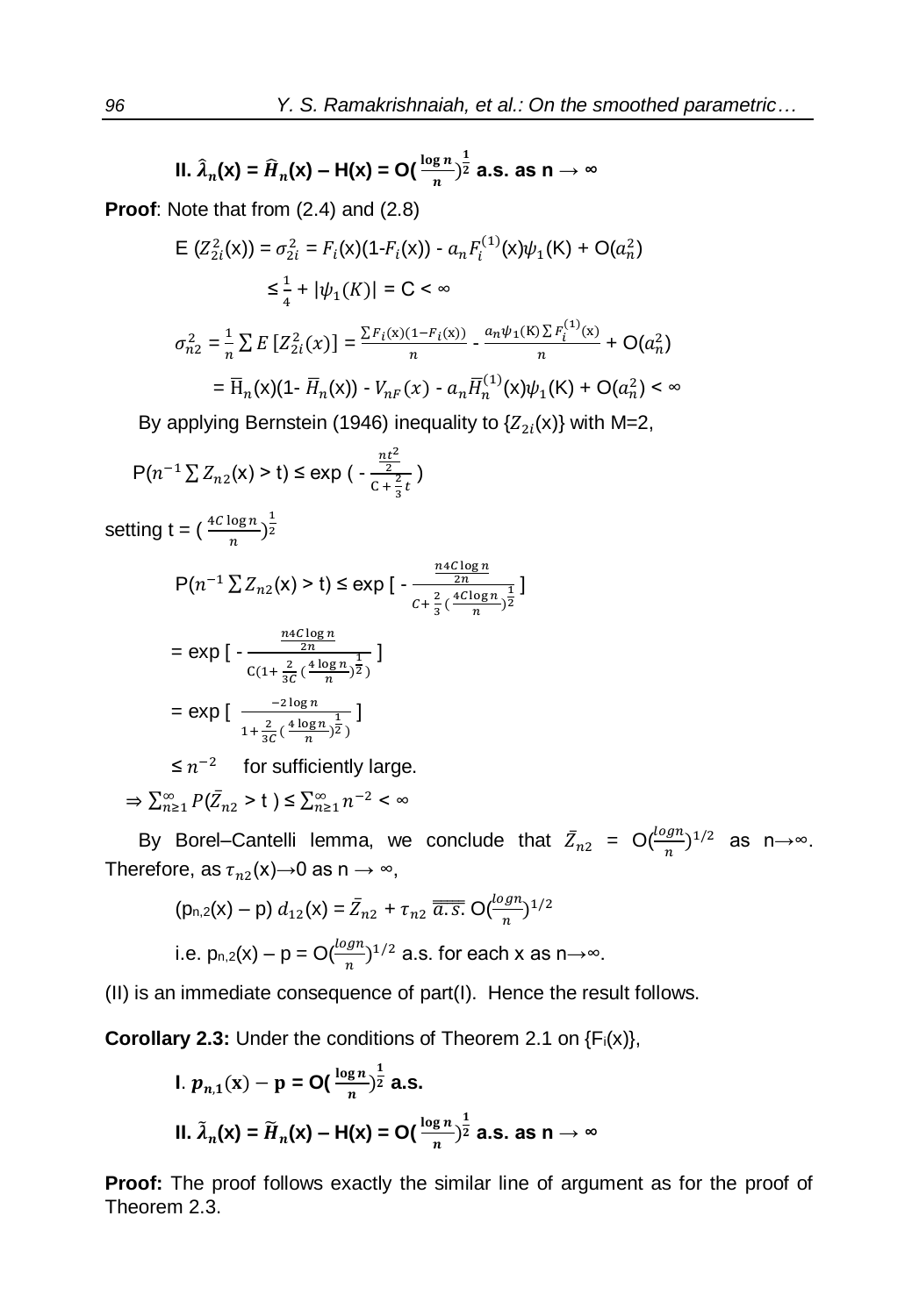II. 
$$
\hat{\lambda}_n(x) = \hat{H}_n(x) - H(x) = O(\frac{\log n}{n})^{\frac{1}{2}}
$$
 a.s. as  $n \to \infty$ 

**Proof**: Note that from (2.4) and (2.8)

$$
E(Z_{2i}^2(x)) = \sigma_{2i}^2 = F_i(x)(1 - F_i(x)) - a_n F_i^{(1)}(x)\psi_1(K) + O(a_n^2)
$$
  
\n
$$
\leq \frac{1}{4} + |\psi_1(K)| = C < \infty
$$
  
\n
$$
\sigma_{n2}^2 = \frac{1}{n} \sum E[Z_{2i}^2(x)] = \frac{\sum F_i(x)(1 - F_i(x))}{n} - \frac{a_n \psi_1(K) \sum F_i^{(1)}(x)}{n} + O(a_n^2)
$$
  
\n
$$
= \overline{H}_n(x)(1 - \overline{H}_n(x)) - V_{nF}(x) - a_n \overline{H}_n^{(1)}(x)\psi_1(K) + O(a_n^2) < \infty
$$

By applying Bernstein (1946) inequality to  $\{Z_{2i}(x)\}$  with M=2,

$$
P(n^{-1} \sum Z_{n2}(x) > t) \le \exp\left(-\frac{\frac{nt^2}{2}}{c + \frac{2}{3}t}\right)
$$

setting t =  $\left(\frac{4C\log n}{n}\right)^{\frac{1}{2}}$ 

$$
P(n^{-1} \sum Z_{n2}(x) > t) \le \exp\left[ -\frac{\frac{n4C \log n}{2n}}{c + \frac{2}{3}(\frac{4C \log n}{n})^{\frac{1}{2}}}\right]
$$

$$
= \exp\left[ -\frac{\frac{n4C \log n}{2n}}{C(1 + \frac{2}{3C}(\frac{4 \log n}{n})^{\frac{1}{2}})}\right]
$$

$$
= \exp\big[\frac{-2\log n}{1 + \frac{2}{3C}(\frac{4\log n}{n})^{\frac{1}{2}}}\big]
$$

 $\leq n^{-2}$  for sufficiently large.

 $\Rightarrow \sum_{n=1}^{\infty} P(\bar{Z}_{n2} > t) \leq \sum_{n=1}^{\infty} n^{-2} < \infty$ 

By Borel–Cantelli lemma, we conclude that  $\bar{Z}_{n2} = O(\frac{\log n}{n})^{1/2}$  as  $n \rightarrow \infty$ . Therefore, as  $\tau_{n2}(\mathsf{x}){\rightarrow}0$  as n  $\rightarrow\infty,$ 

$$
(p_{n,2}(x) - p) d_{12}(x) = \bar{Z}_{n2} + \tau_{n2} \overline{a.s.} O(\frac{\log n}{n})^{1/2}
$$
  
i.e.  $p_{n,2}(x) - p = O(\frac{\log n}{n})^{1/2}$  a.s. for each x as  $n \to \infty$ .

(II) is an immediate consequence of part(I). Hence the result follows.

**Corollary 2.3:** Under the conditions of Theorem 2.1 on {F<sub>i</sub>(x)},

1. 
$$
p_{n,1}(x) - p = O(\frac{\log n}{n})^{\frac{1}{2}}
$$
 a.s.  
11.  $\tilde{\lambda}_n(x) = \tilde{H}_n(x) - H(x) = O(\frac{\log n}{n})^{\frac{1}{2}}$  a.s. as  $n \to \infty$ 

**Proof:** The proof follows exactly the similar line of argument as for the proof of Theorem 2.3.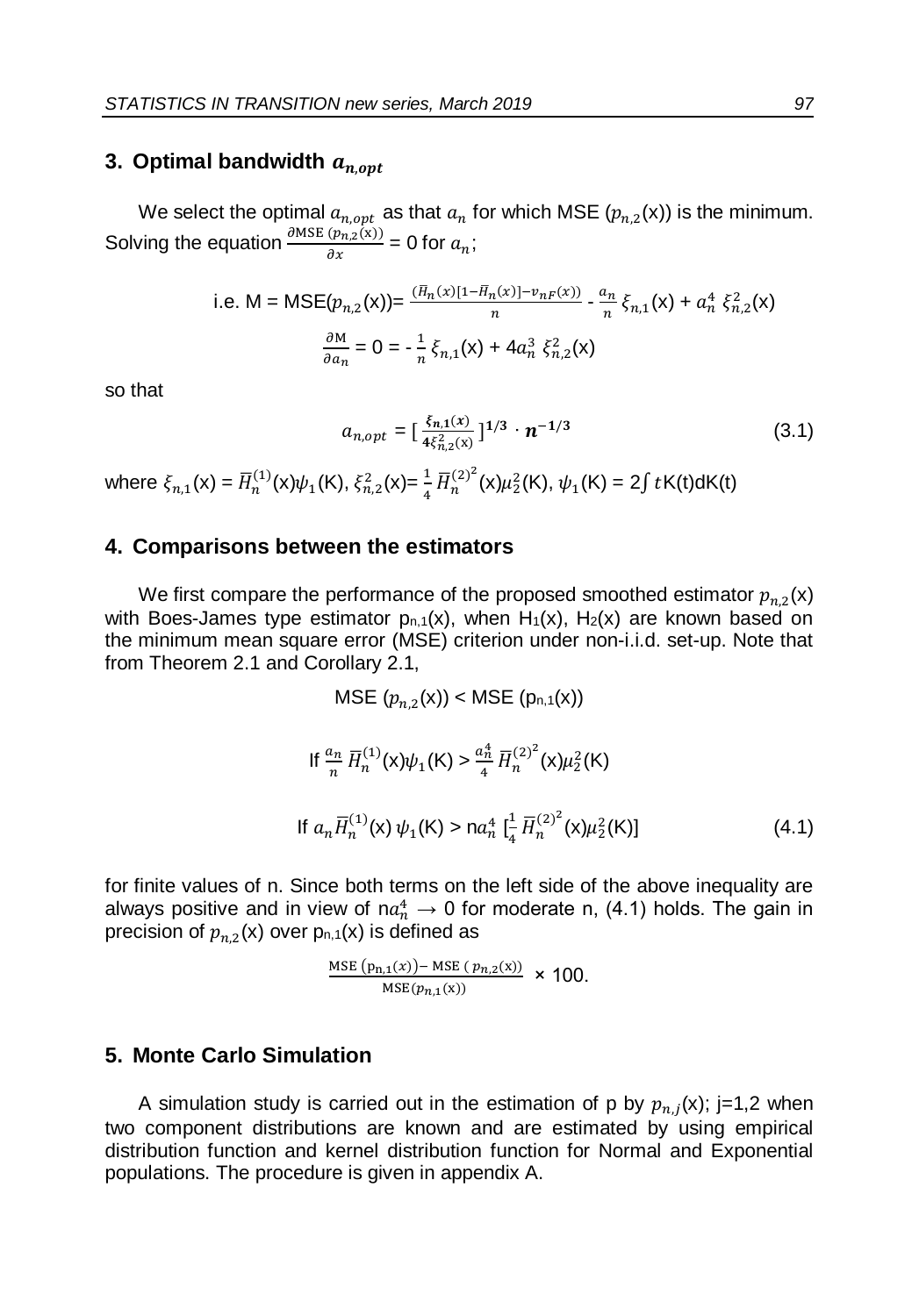## **3. Optimal bandwidth**  $a_{n,opt}$

We select the optimal  $a_{n,opt}$  as that  $a_n$  for which MSE  $(p_{n,2}(x))$  is the minimum. Solving the equation  $\frac{\partial \text{MSE} (p_{n,2}(x))}{\partial x} = 0$  for  $a_n$ ;

i.e. M = MSE
$$
(p_{n,2}(\mathbf{x})) = \frac{(H_n(x)[1 - H_n(x)] - v_{nF}(x))}{n} - \frac{a_n}{n} \xi_{n,1}(\mathbf{x}) + a_n^4 \xi_{n,2}^2(\mathbf{x})
$$
  

$$
\frac{\partial M}{\partial a_n} = 0 = -\frac{1}{n} \xi_{n,1}(\mathbf{x}) + 4a_n^3 \xi_{n,2}^2(\mathbf{x})
$$

so that

$$
a_{n,opt} = \left[\frac{\xi_{n,1}(x)}{4\xi_{n,2}^2(x)}\right]^{1/3} \cdot \boldsymbol{n}^{-1/3}
$$
 (3.1)

where  $\xi_{n,1}(\mathsf{x}) = \overline{H}_n^{(1)}(\mathsf{x})\psi_1(\mathsf{K}), \xi_{n,2}^2(\mathsf{x}) = \frac{1}{4} \overline{H}_n^{(2)^2}(\mathsf{x})\mu_2^2(\mathsf{K}), \psi_1(\mathsf{K}) = 2 \int t \mathsf{K}(\mathsf{t}) \mathsf{d} \mathsf{K}(\mathsf{t})$ 

#### **4. Comparisons between the estimators**

We first compare the performance of the proposed smoothed estimator  $p_{n,2}(\mathsf{x})$ with Boes-James type estimator  $p_{n,1}(x)$ , when  $H_1(x)$ ,  $H_2(x)$  are known based on the minimum mean square error (MSE) criterion under non-i.i.d. set-up. Note that from Theorem 2.1 and Corollary 2.1,

MSE 
$$
(p_{n,2}(\mathbf{x})) <
$$
 MSE  $(p_{n,1}(\mathbf{x}))$   
\nIf  $\frac{a_n}{n} \overline{H}_n^{(1)}(\mathbf{x}) \psi_1(\mathbf{K}) > \frac{a_n^4}{4} \overline{H}_n^{(2)^2}(\mathbf{x}) \mu_2^2(\mathbf{K})$   
\nIf  $a_n \overline{H}_n^{(1)}(\mathbf{x}) \psi_1(\mathbf{K}) > n a_n^4 \left[ \frac{1}{4} \overline{H}_n^{(2)^2}(\mathbf{x}) \mu_2^2(\mathbf{K}) \right]$  (4.1)

for finite values of n. Since both terms on the left side of the above inequality are always positive and in view of n $a_n^4 \rightarrow 0$  for moderate n, (4.1) holds. The gain in precision of  $p_{n,2}(\mathsf{x})$  over p $_{\mathsf{n},\mathsf{1}}(\mathsf{x})$  is defined as

$$
\frac{\text{MSE}(p_{n,1}(x)) - \text{MSE}(p_{n,2}(x))}{\text{MSE}(p_{n,1}(x))} \times 100.
$$

#### **5. Monte Carlo Simulation**

A simulation study is carried out in the estimation of p by  $p_{n,j}(x)$ ; j=1,2 when two component distributions are known and are estimated by using empirical distribution function and kernel distribution function for Normal and Exponential populations. The procedure is given in appendix A.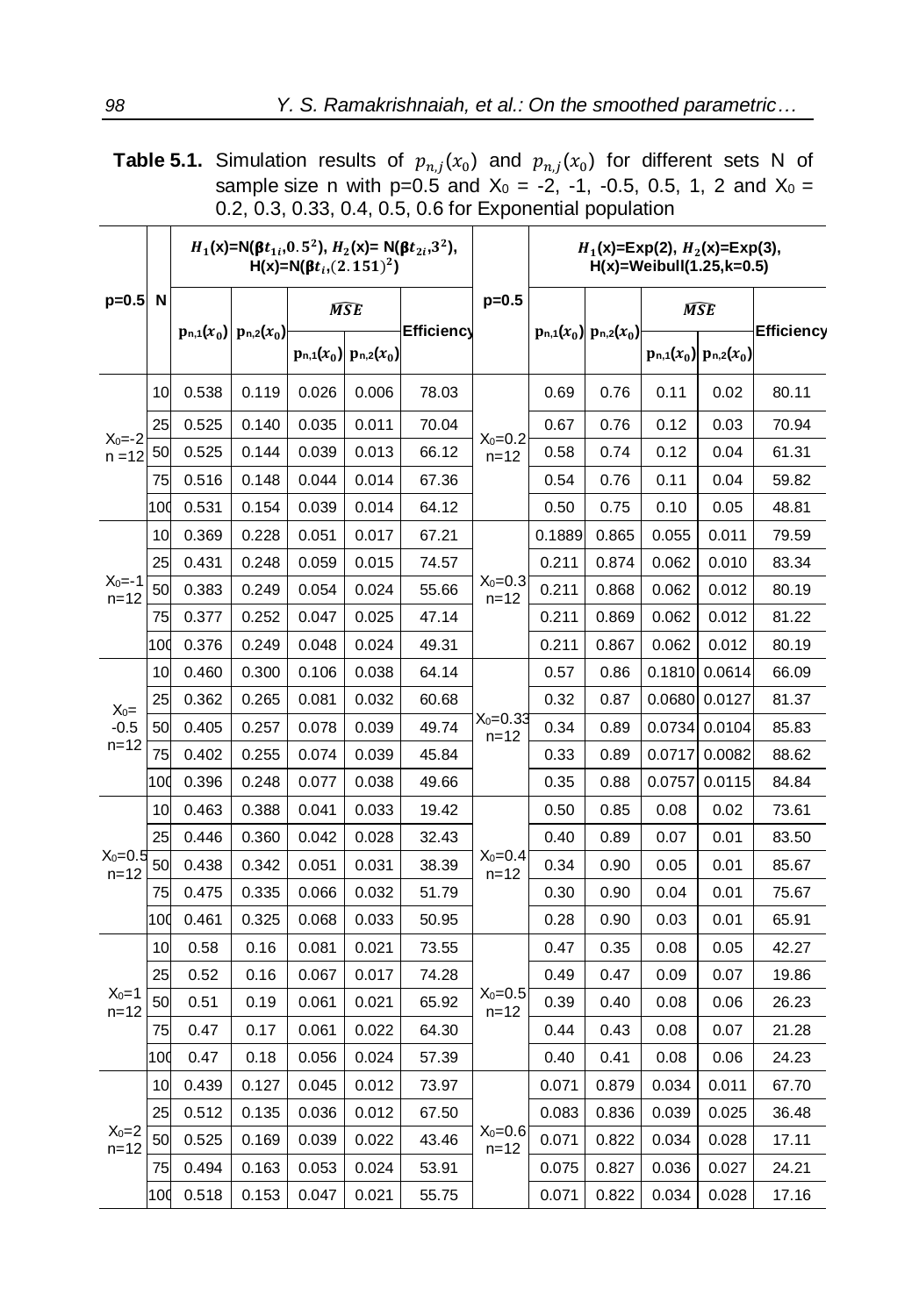**Table 5.1.** Simulation results of  $p_{n,j}(x_0)$  and  $p_{n,j}(x_0)$  for different sets N of sample size n with p=0.5 and  $X_0 = -2, -1, -0.5, 0.5, 1, 2$  and  $X_0 =$ 0.2, 0.3, 0.33, 0.4, 0.5, 0.6 for Exponential population

|                               |     | $H_1(x)=N(\beta t_{1i},0.5^2), H_2(x)=N(\beta t_{2i},3^2),$<br>$H(x)=N(\beta t_i,(2.151)^2)$ |                               |            |                               |                   | $H_1(x)=Exp(2), H_2(x)=Exp(3),$<br>$H(x) = Weibull(1.25, k=0.5)$ |        |                               |        |                               |            |
|-------------------------------|-----|----------------------------------------------------------------------------------------------|-------------------------------|------------|-------------------------------|-------------------|------------------------------------------------------------------|--------|-------------------------------|--------|-------------------------------|------------|
| $p=0.5$ N                     |     |                                                                                              | $p_{n,1}(x_0)$ $p_{n,2}(x_0)$ | <b>MSE</b> |                               |                   | $p=0.5$                                                          |        |                               | MSE    |                               |            |
|                               |     |                                                                                              |                               |            | $p_{n,1}(x_0)$ $p_{n,2}(x_0)$ | <b>Efficiency</b> |                                                                  |        | $p_{n,1}(x_0)$ $p_{n,2}(x_0)$ |        | $p_{n,1}(x_0)$ $p_{n,2}(x_0)$ | Efficiency |
| $X_0 = -2$<br>$n = 12$        | 10  | 0.538                                                                                        | 0.119                         | 0.026      | 0.006                         | 78.03             | $X_0 = 0.2$<br>$n = 12$                                          | 0.69   | 0.76                          | 0.11   | 0.02                          | 80.11      |
|                               | 25  | 0.525                                                                                        | 0.140                         | 0.035      | 0.011                         | 70.04             |                                                                  | 0.67   | 0.76                          | 0.12   | 0.03                          | 70.94      |
|                               | 50  | 0.525                                                                                        | 0.144                         | 0.039      | 0.013                         | 66.12             |                                                                  | 0.58   | 0.74                          | 0.12   | 0.04                          | 61.31      |
|                               | 75  | 0.516                                                                                        | 0.148                         | 0.044      | 0.014                         | 67.36             |                                                                  | 0.54   | 0.76                          | 0.11   | 0.04                          | 59.82      |
|                               | 100 | 0.531                                                                                        | 0.154                         | 0.039      | 0.014                         | 64.12             |                                                                  | 0.50   | 0.75                          | 0.10   | 0.05                          | 48.81      |
| $X_0 = -1$<br>$n = 12$        | 10  | 0.369                                                                                        | 0.228                         | 0.051      | 0.017                         | 67.21             | $X_0=0.3$<br>$n = 12$                                            | 0.1889 | 0.865                         | 0.055  | 0.011                         | 79.59      |
|                               | 25  | 0.431                                                                                        | 0.248                         | 0.059      | 0.015                         | 74.57             |                                                                  | 0.211  | 0.874                         | 0.062  | 0.010                         | 83.34      |
|                               | 50  | 0.383                                                                                        | 0.249                         | 0.054      | 0.024                         | 55.66             |                                                                  | 0.211  | 0.868                         | 0.062  | 0.012                         | 80.19      |
|                               | 75  | 0.377                                                                                        | 0.252                         | 0.047      | 0.025                         | 47.14             |                                                                  | 0.211  | 0.869                         | 0.062  | 0.012                         | 81.22      |
|                               | 100 | 0.376                                                                                        | 0.249                         | 0.048      | 0.024                         | 49.31             |                                                                  | 0.211  | 0.867                         | 0.062  | 0.012                         | 80.19      |
| $X_0 =$<br>$-0.5$<br>$n = 12$ | 10  | 0.460                                                                                        | 0.300                         | 0.106      | 0.038                         | 64.14             | $X_0 = 0.33$<br>$n = 12$                                         | 0.57   | 0.86                          | 0.1810 | 0.0614                        | 66.09      |
|                               | 25  | 0.362                                                                                        | 0.265                         | 0.081      | 0.032                         | 60.68             |                                                                  | 0.32   | 0.87                          | 0.0680 | 0.0127                        | 81.37      |
|                               | 50  | 0.405                                                                                        | 0.257                         | 0.078      | 0.039                         | 49.74             |                                                                  | 0.34   | 0.89                          | 0.0734 | 0.0104                        | 85.83      |
|                               | 75  | 0.402                                                                                        | 0.255                         | 0.074      | 0.039                         | 45.84             |                                                                  | 0.33   | 0.89                          | 0.0717 | 0.0082                        | 88.62      |
|                               | 100 | 0.396                                                                                        | 0.248                         | 0.077      | 0.038                         | 49.66             |                                                                  | 0.35   | 0.88                          | 0.0757 | 0.0115                        | 84.84      |
| $X_0 = 0.5$<br>$n = 12$       | 10  | 0.463                                                                                        | 0.388                         | 0.041      | 0.033                         | 19.42             | $X_0=0.4$<br>$n = 12$                                            | 0.50   | 0.85                          | 0.08   | 0.02                          | 73.61      |
|                               | 25  | 0.446                                                                                        | 0.360                         | 0.042      | 0.028                         | 32.43             |                                                                  | 0.40   | 0.89                          | 0.07   | 0.01                          | 83.50      |
|                               | 50  | 0.438                                                                                        | 0.342                         | 0.051      | 0.031                         | 38.39             |                                                                  | 0.34   | 0.90                          | 0.05   | 0.01                          | 85.67      |
|                               | 75  | 0.475                                                                                        | 0.335                         | 0.066      | 0.032                         | 51.79             |                                                                  | 0.30   | 0.90                          | 0.04   | 0.01                          | 75.67      |
|                               | 100 | 0.461                                                                                        | 0.325                         | 0.068      | 0.033                         | 50.95             |                                                                  | 0.28   | 0.90                          | 0.03   | 0.01                          | 65.91      |
| $X_0 = 1$<br>$n = 12$         | 10  | 0.58                                                                                         | 0.16                          | 0.081      | 0.021                         | 73.55             | $X_0 = 0.5$<br>$n = 12$                                          | 0.47   | 0.35                          | 0.08   | 0.05                          | 42.27      |
|                               | 25  | 0.52                                                                                         | 0.16                          | 0.067      | 0.017                         | 74.28             |                                                                  | 0.49   | 0.47                          | 0.09   | 0.07                          | 19.86      |
|                               | 50  | 0.51                                                                                         | 0.19                          | 0.061      | 0.021                         | 65.92             |                                                                  | 0.39   | 0.40                          | 0.08   | 0.06                          | 26.23      |
|                               | 75  | 0.47                                                                                         | 0.17                          | 0.061      | 0.022                         | 64.30             |                                                                  | 0.44   | 0.43                          | 0.08   | 0.07                          | 21.28      |
|                               | 100 | 0.47                                                                                         | 0.18                          | 0.056      | 0.024                         | 57.39             |                                                                  | 0.40   | 0.41                          | 0.08   | 0.06                          | 24.23      |
| $X_0=2$<br>n=12               | 10  | 0.439                                                                                        | 0.127                         | 0.045      | 0.012                         | 73.97             | $X_0=0.6$<br>$n = 12$                                            | 0.071  | 0.879                         | 0.034  | 0.011                         | 67.70      |
|                               | 25  | 0.512                                                                                        | 0.135                         | 0.036      | 0.012                         | 67.50             |                                                                  | 0.083  | 0.836                         | 0.039  | 0.025                         | 36.48      |
|                               | 50  | 0.525                                                                                        | 0.169                         | 0.039      | 0.022                         | 43.46             |                                                                  | 0.071  | 0.822                         | 0.034  | 0.028                         | 17.11      |
|                               | 75  | 0.494                                                                                        | 0.163                         | 0.053      | 0.024                         | 53.91             |                                                                  | 0.075  | 0.827                         | 0.036  | 0.027                         | 24.21      |
|                               | 100 | 0.518                                                                                        | 0.153                         | 0.047      | 0.021                         | 55.75             |                                                                  | 0.071  | 0.822                         | 0.034  | 0.028                         | 17.16      |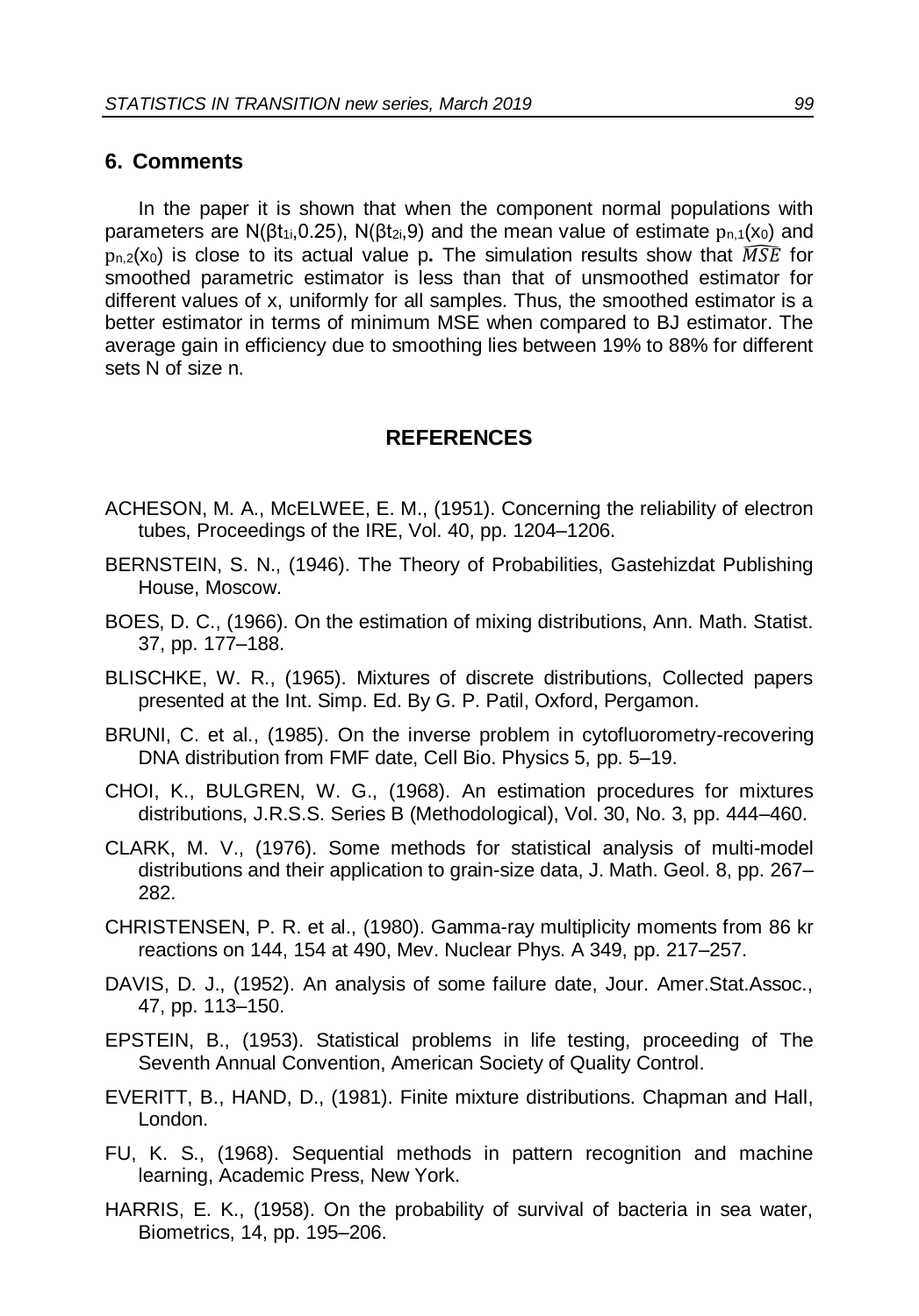#### **6. Comments**

In the paper it is shown that when the component normal populations with parameters are N( $\beta t_{1i}$ , 0.25), N( $\beta t_{2i}$ , 9) and the mean value of estimate  $p_{n,1}(x_0)$  and  $p_{n,2}(x_0)$  is close to its actual value p. The simulation results show that  $\widehat{MSE}$  for smoothed parametric estimator is less than that of unsmoothed estimator for different values of x, uniformly for all samples. Thus, the smoothed estimator is a better estimator in terms of minimum MSE when compared to BJ estimator. The average gain in efficiency due to smoothing lies between 19% to 88% for different sets N of size n.

#### **REFERENCES**

- ACHESON, M. A., McELWEE, E. M., (1951). Concerning the reliability of electron tubes, Proceedings of the IRE, Vol. 40, pp. 1204–1206.
- BERNSTEIN, S. N., (1946). The Theory of Probabilities, Gastehizdat Publishing House, Moscow.
- BOES, D. C., (1966). On the estimation of mixing distributions, Ann. Math. Statist. 37, pp. 177–188.
- BLISCHKE, W. R., (1965). Mixtures of discrete distributions, Collected papers presented at the Int. Simp. Ed. By G. P. Patil, Oxford, Pergamon.
- BRUNI, C. et al., (1985). On the inverse problem in cytofluorometry-recovering DNA distribution from FMF date, Cell Bio. Physics 5, pp. 5–19.
- CHOI, K., BULGREN, W. G., (1968). An estimation procedures for mixtures distributions, J.R.S.S. Series B (Methodological), Vol. 30, No. 3, pp. 444–460.
- CLARK, M. V., (1976). Some methods for statistical analysis of multi-model distributions and their application to grain-size data, J. Math. Geol. 8, pp. 267– 282.
- CHRISTENSEN, P. R. et al., (1980). Gamma-ray multiplicity moments from 86 kr reactions on 144, 154 at 490, Mev. Nuclear Phys. A 349, pp. 217–257.
- DAVIS, D. J., (1952). An analysis of some failure date, Jour. Amer.Stat.Assoc., 47, pp. 113–150.
- EPSTEIN, B., (1953). Statistical problems in life testing, proceeding of The Seventh Annual Convention, American Society of Quality Control.
- EVERITT, B., HAND, D., (1981). Finite mixture distributions. Chapman and Hall, London.
- FU, K. S., (1968). Sequential methods in pattern recognition and machine learning, Academic Press, New York.
- HARRIS, E. K., (1958). On the probability of survival of bacteria in sea water, Biometrics, 14, pp. 195–206.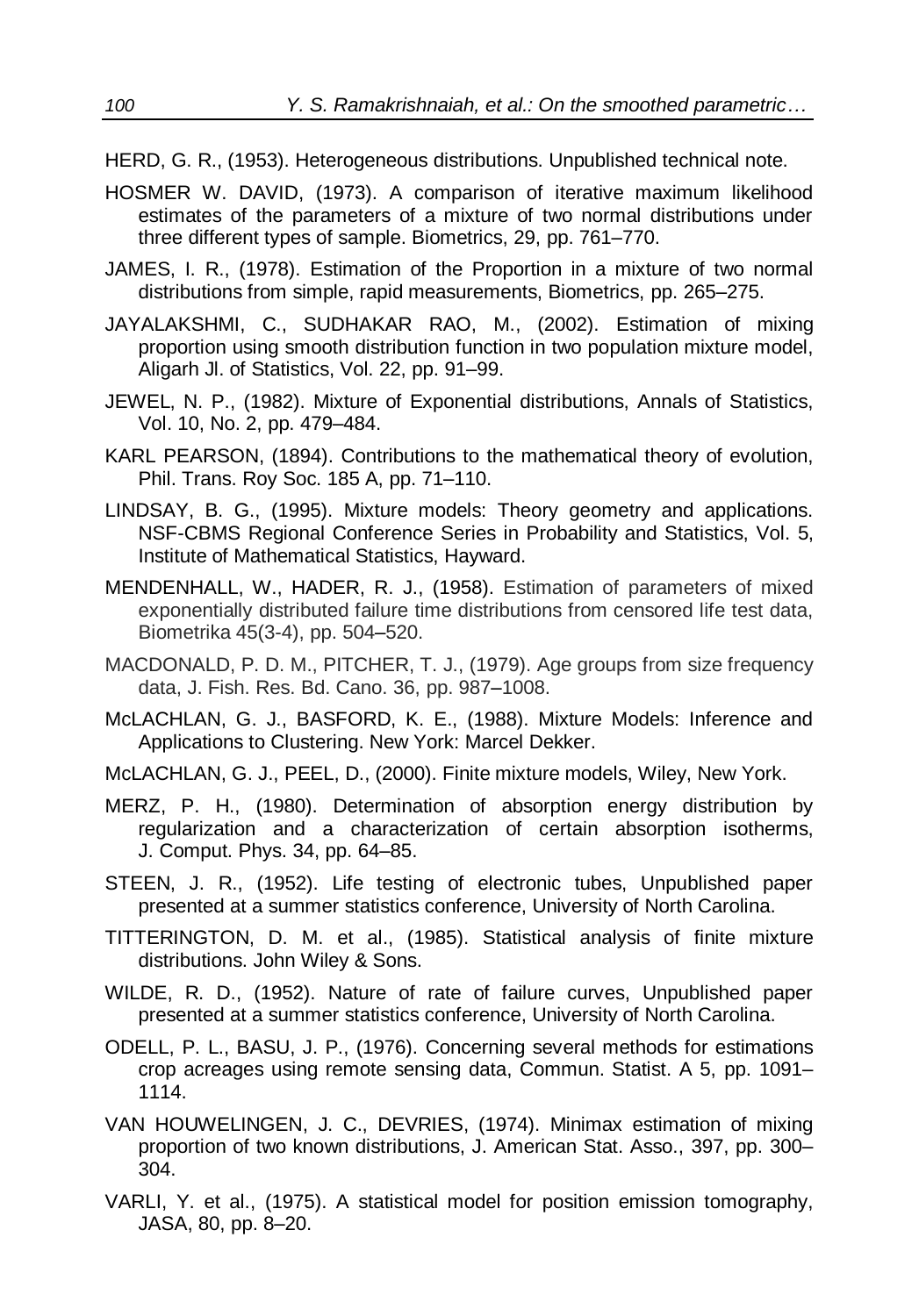- HERD, G. R., (1953). Heterogeneous distributions. Unpublished technical note.
- HOSMER W. DAVID, (1973). A comparison of iterative maximum likelihood estimates of the parameters of a mixture of two normal distributions under three different types of sample. Biometrics, 29, pp. 761–770.
- JAMES, I. R., (1978). Estimation of the Proportion in a mixture of two normal distributions from simple, rapid measurements, Biometrics, pp. 265–275.
- JAYALAKSHMI, C., SUDHAKAR RAO, M., (2002). Estimation of mixing proportion using smooth distribution function in two population mixture model, Aligarh Jl. of Statistics, Vol. 22, pp. 91–99.
- JEWEL, N. P., (1982). Mixture of Exponential distributions, Annals of Statistics, Vol. 10, No. 2, pp. 479–484.
- KARL PEARSON, (1894). Contributions to the mathematical theory of evolution, Phil. Trans. Roy Soc. 185 A, pp. 71–110.
- LINDSAY, B. G., (1995). Mixture models: Theory geometry and applications. NSF-CBMS Regional Conference Series in Probability and Statistics, Vol. 5, Institute of Mathematical Statistics, Hayward.
- MENDENHALL, W., HADER, R. J., (1958). Estimation of parameters of mixed exponentially distributed failure time distributions from censored life test data, Biometrika 45(3-4), pp. 504–520.
- MACDONALD, P. D. M., PITCHER, T. J., (1979). Age groups from size frequency data, J. Fish. Res. Bd. Cano. 36, pp. 987–1008.
- McLACHLAN, G. J., BASFORD, K. E., (1988). Mixture Models: Inference and Applications to Clustering. New York: Marcel Dekker.
- McLACHLAN, G. J., PEEL, D., (2000). Finite mixture models, Wiley, New York.
- MERZ, P. H., (1980). Determination of absorption energy distribution by regularization and a characterization of certain absorption isotherms, J. Comput. Phys. 34, pp. 64–85.
- STEEN, J. R., (1952). Life testing of electronic tubes, Unpublished paper presented at a summer statistics conference, University of North Carolina.
- TITTERINGTON, D. M. et al., (1985). Statistical analysis of finite mixture distributions. John Wiley & Sons.
- WILDE, R. D., (1952). Nature of rate of failure curves, Unpublished paper presented at a summer statistics conference, University of North Carolina.
- ODELL, P. L., BASU, J. P., (1976). Concerning several methods for estimations crop acreages using remote sensing data, Commun. Statist. A 5, pp. 1091– 1114.
- VAN HOUWELINGEN, J. C., DEVRIES, (1974). Minimax estimation of mixing proportion of two known distributions, J. American Stat. Asso., 397, pp. 300– 304.
- VARLI, Y. et al., (1975). A statistical model for position emission tomography, JASA, 80, pp. 8–20.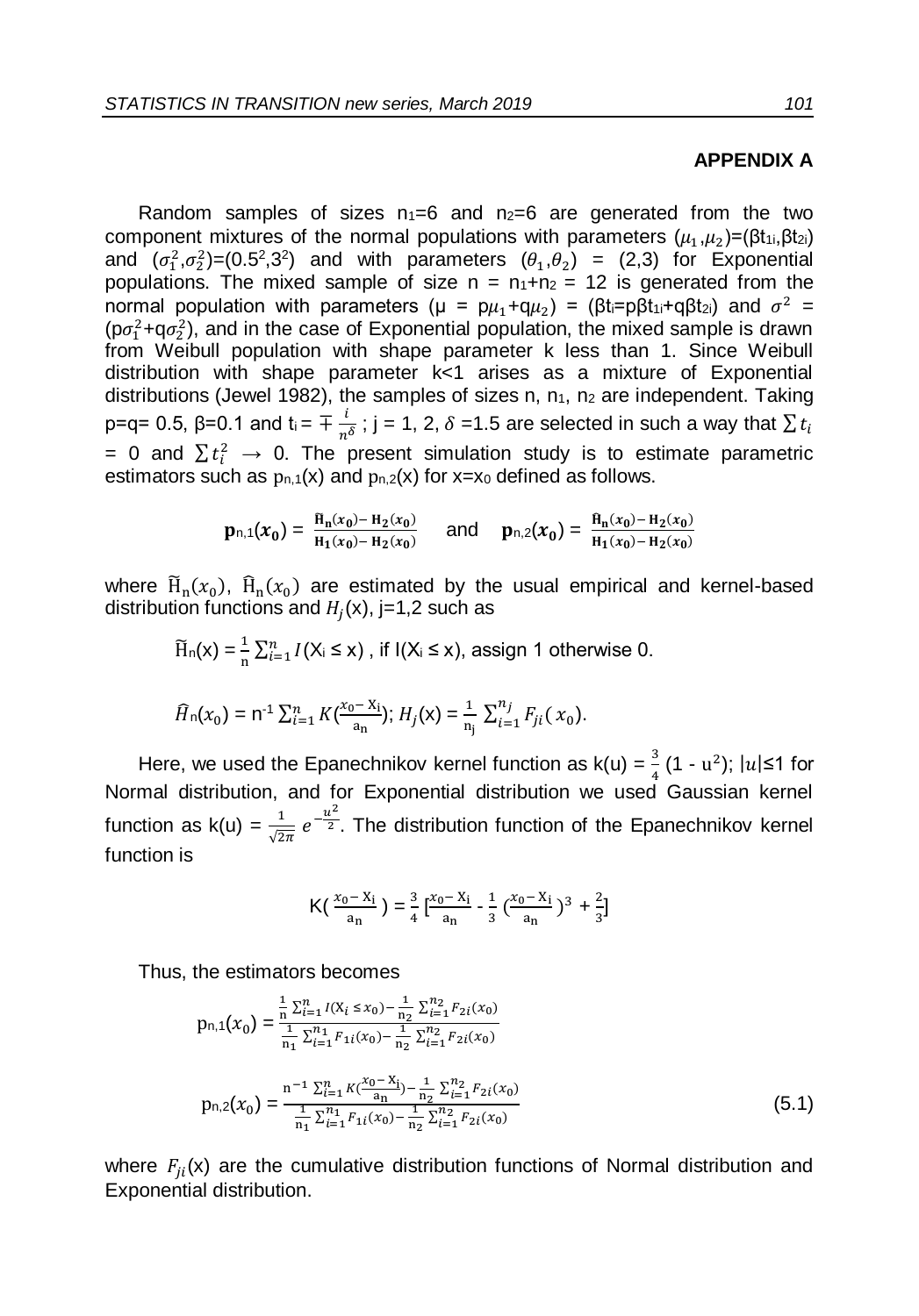#### **APPENDIX A**

Random samples of sizes  $n_1=6$  and  $n_2=6$  are generated from the two component mixtures of the normal populations with parameters  $(\mu_1,\mu_2)$ =( $\beta t_{1i},\beta t_{2i}$ ) and  $(\sigma_1^2, \sigma_2^2)$ =(0.5<sup>2</sup>,3<sup>2</sup>) and with parameters  $(\theta_1, \theta_2)$  = (2,3) for Exponential populations. The mixed sample of size  $n = n_1+n_2 = 12$  is generated from the normal population with parameters (μ = p $\mu_1 + q \mu_2$ ) = (βt<sub>i</sub>=pβt<sub>1i</sub>+qβt<sub>2i</sub>) and  $\sigma^2$  =  $(p\sigma_1^2+q\sigma_2^2)$ , and in the case of Exponential population, the mixed sample is drawn from Weibull population with shape parameter k less than 1. Since Weibull distribution with shape parameter k<1 arises as a mixture of Exponential distributions (Jewel 1982), the samples of sizes n,  $n_1$ ,  $n_2$  are independent. Taking p=q= 0.5, β=0.1 and t<sub>i</sub> =  $\mp \frac{i}{n}$  $\frac{\mu}{n^{\delta}}$ ; j = 1, 2,  $\delta$  =1.5 are selected in such a way that  $\sum t_i$ = 0 and  $\sum t_i^2$  → 0. The present simulation study is to estimate parametric estimators such as  $p_{n,1}(x)$  and  $p_{n,2}(x)$  for x=x<sub>0</sub> defined as follows.

$$
\mathbf{p}_{n,1}(x_0) = \frac{\tilde{\mathbf{H}}_n(x_0) - \mathbf{H}_2(x_0)}{\mathbf{H}_1(x_0) - \mathbf{H}_2(x_0)} \quad \text{and} \quad \mathbf{p}_{n,2}(x_0) = \frac{\tilde{\mathbf{H}}_n(x_0) - \mathbf{H}_2(x_0)}{\mathbf{H}_1(x_0) - \mathbf{H}_2(x_0)}
$$

where  $\widetilde{H}_n(x_0)$ ,  $\widehat{H}_n(x_0)$  are estimated by the usual empirical and kernel-based distribution functions and  $H_j(\mathsf{x})$ , j=1,2 such as

$$
\widetilde{H}_n(x) = \frac{1}{n} \sum_{i=1}^n I(X_i \le x), \text{ if } I(X_i \le x), \text{ assign 1 otherwise 0.}
$$

$$
\widehat{H}_n(x_0) = n^{-1} \sum_{i=1}^n K(\frac{x_0 - x_i}{a_n}); H_j(x) = \frac{1}{n_j} \sum_{i=1}^{n_j} F_{ji}(x_0).
$$

Here, we used the Epanechnikov kernel function as  $k(u) = \frac{3}{4}(1 - u^2)$ ;  $|u| \le 1$  for 4 Normal distribution, and for Exponential distribution we used Gaussian kernel function as k(u) =  $\frac{1}{\sqrt{2\pi}} e^{-\frac{u^2}{2}}$ . The distribution function of the Epanechnikov kernel function is

$$
\mathsf{K}\left(\frac{x_0 - x_i}{a_n}\right) = \frac{3}{4} \left[\frac{x_0 - x_i}{a_n} - \frac{1}{3} \left(\frac{x_0 - x_i}{a_n}\right)^3 + \frac{2}{3}\right]
$$

Thus, the estimators becomes

$$
p_{n,1}(x_0) = \frac{\frac{1}{n}\sum_{i=1}^{n} I(X_i \le x_0) - \frac{1}{n_2}\sum_{i=1}^{n_2} F_{2i}(x_0)}{\frac{1}{n_1}\sum_{i=1}^{n_1} F_{1i}(x_0) - \frac{1}{n_2}\sum_{i=1}^{n_2} F_{2i}(x_0)}
$$

$$
p_{n,2}(x_0) = \frac{n^{-1}\sum_{i=1}^{n} K\left(\frac{x_0 - X_i}{a_n}\right) - \frac{1}{n_2}\sum_{i=1}^{n_2} F_{2i}(x_0)}{\frac{1}{n_1}\sum_{i=1}^{n_1} F_{1i}(x_0) - \frac{1}{n_2}\sum_{i=1}^{n_2} F_{2i}(x_0)}
$$
(5.1)

where  $F_{ji}(x)$  are the cumulative distribution functions of Normal distribution and Exponential distribution.